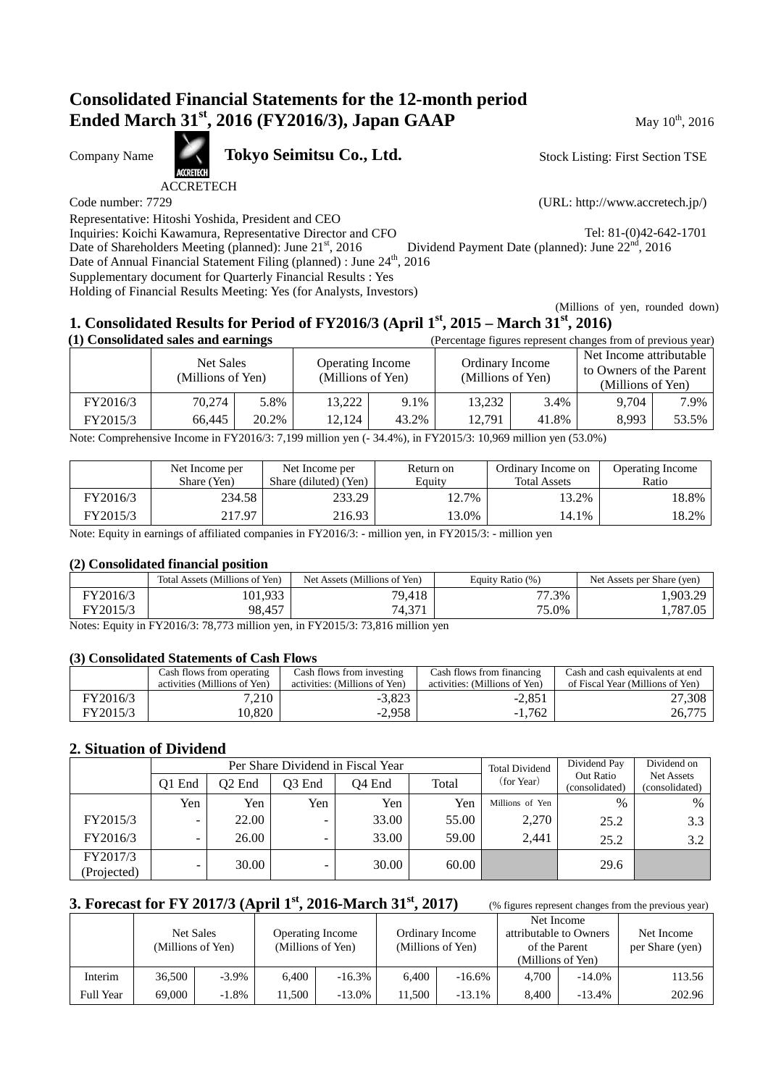# **Consolidated Financial Statements for the 12-month period Ended March 31<sup>st</sup>, 2016 (FY2016/3), Japan GAAP** May 10<sup>th</sup>, 2016

Company Name **Tokyo Seimitsu Co., Ltd.** 

ACCRETECH

Representative: Hitoshi Yoshida, President and CEO

Inquiries: Koichi Kawamura, Representative Director and CFO Tel: 81-(0)42-642-1701<br>Date of Shareholders Meeting (planned): June 21<sup>st</sup>, 2016 Dividend Payment Date (planned): June 22<sup>nd</sup>, 2016

Date of Shareholders Meeting (planned): June 21st, 2016

Date of Annual Financial Statement Filing (planned) : June  $24<sup>th</sup>$ , 2016 Supplementary document for Quarterly Financial Results : Yes

Holding of Financial Results Meeting: Yes (for Analysts, Investors)

Stock Listing: First Section TSE

Code number: 7729 (URL: http://www.accretech.jp/)

 (Millions of yen, rounded down) **1. Consolidated Results for Period of FY2016/3 (April 1st, 2015 – March 31st, 2016)**

|          | (1) Consolidated sales and earnings |       |                                              | (Percentage figures represent changes from of previous year) |                                      |       |                                                                         |       |
|----------|-------------------------------------|-------|----------------------------------------------|--------------------------------------------------------------|--------------------------------------|-------|-------------------------------------------------------------------------|-------|
|          | Net Sales<br>(Millions of Yen)      |       | <b>Operating Income</b><br>(Millions of Yen) |                                                              | Ordinary Income<br>(Millions of Yen) |       | Net Income attributable<br>to Owners of the Parent<br>(Millions of Yen) |       |
| FY2016/3 | 70.274                              | 5.8%  | 13,222                                       | 9.1%                                                         | 13,232                               | 3.4%  | 9.704                                                                   | 7.9%  |
| FY2015/3 | 66.445                              | 20.2% | 12.124                                       | 43.2%                                                        | 12.791                               | 41.8% | 8.993                                                                   | 53.5% |

Note: Comprehensive Income in FY2016/3: 7,199 million yen (- 34.4%), in FY2015/3: 10,969 million yen (53.0%)

|          | Net Income per<br>Share (Yen) | Net Income per<br>Share (diluted) (Yen) | Return on<br>Equity | Ordinary Income on<br><b>Total Assets</b> | <b>Operating Income</b><br>Ratio |
|----------|-------------------------------|-----------------------------------------|---------------------|-------------------------------------------|----------------------------------|
| FY2016/3 | 234.58                        | 233.29                                  | $12.7\%$            | 13.2%                                     | 18.8%                            |
| FY2015/3 | 217.97                        | 216.93                                  | 3.0%                | 14.1%                                     | 18.2%                            |

Note: Equity in earnings of affiliated companies in FY2016/3: - million yen, in FY2015/3: - million yen

#### **(2) Consolidated financial position**

|          | Total Assets (Millions of Yen) | Net Assets (Millions of Yen) | Equity Ratio (%) | Net Assets per Share (yen) |
|----------|--------------------------------|------------------------------|------------------|----------------------------|
| FY2016/3 | 101,933                        | 79,418                       | 77.3%            | .,903.29                   |
| FY2015/3 | 98,457                         | 74,371                       | 75.0%            | 1,787.05                   |

Notes: Equity in FY2016/3: 78,773 million yen, in FY2015/3: 73,816 million yen

#### **(3) Consolidated Statements of Cash Flows**

|          | Cash flows from operating<br>activities (Millions of Yen) | Cash flows from investing<br>activities: (Millions of Yen) | Cash flows from financing<br>activities: (Millions of Yen) | Cash and cash equivalents at end<br>of Fiscal Year (Millions of Yen) |
|----------|-----------------------------------------------------------|------------------------------------------------------------|------------------------------------------------------------|----------------------------------------------------------------------|
| FY2016/3 | 7.210                                                     | $-3,823$                                                   | $-2,851$                                                   | 27,308                                                               |
| FY2015/3 | 10.820                                                    | $-2.958$                                                   | $-1.762$                                                   | 26.775                                                               |

### **2. Situation of Dividend**

|                         |                          |        |        | Per Share Dividend in Fiscal Year |       | <b>Total Dividend</b> | Dividend Pay                | Dividend on                  |
|-------------------------|--------------------------|--------|--------|-----------------------------------|-------|-----------------------|-----------------------------|------------------------------|
|                         | O1 End                   | Q2 End | O3 End | Q4 End                            | Total | (for Year)            | Out Ratio<br>(consolidated) | Net Assets<br>(consolidated) |
|                         | Yen                      | Yen    | Yen    | Yen                               | Yen   | Millions of Yen       | $\%$                        | $\%$                         |
| FY2015/3                | $\overline{\phantom{0}}$ | 22.00  | -      | 33.00                             | 55.00 | 2,270                 | 25.2                        | 3.3                          |
| FY2016/3                | ۰                        | 26.00  | -      | 33.00                             | 59.00 | 2.441                 | 25.2                        | 3.2                          |
| FY2017/3<br>(Projected) |                          | 30.00  |        | 30.00                             | 60.00 |                       | 29.6                        |                              |

# **3. Forecast for FY 2017/3 (April 1st, 2016-March 31st, 2017)** (% figures represent changes from the previous year)

|                  | Net Sales<br>(Millions of Yen) |          |       | <b>Operating Income</b><br>(Millions of Yen) |        | Ordinary Income<br>(Millions of Yen) | attributable to Owners<br>of the Parent<br>(Millions of Yen) | Net Income | Net Income<br>per Share (yen) |
|------------------|--------------------------------|----------|-------|----------------------------------------------|--------|--------------------------------------|--------------------------------------------------------------|------------|-------------------------------|
| Interim          | 36,500                         | $-3.9\%$ | 6.400 | $-16.3\%$                                    | 6.400  | $-16.6\%$                            | 4.700                                                        | $-14.0\%$  | 113.56                        |
| <b>Full Year</b> | 69,000                         | $-1.8\%$ | 1.500 | $-13.0\%$                                    | 11.500 | $-13.1\%$                            | 8.400                                                        | $-13.4%$   | 202.96                        |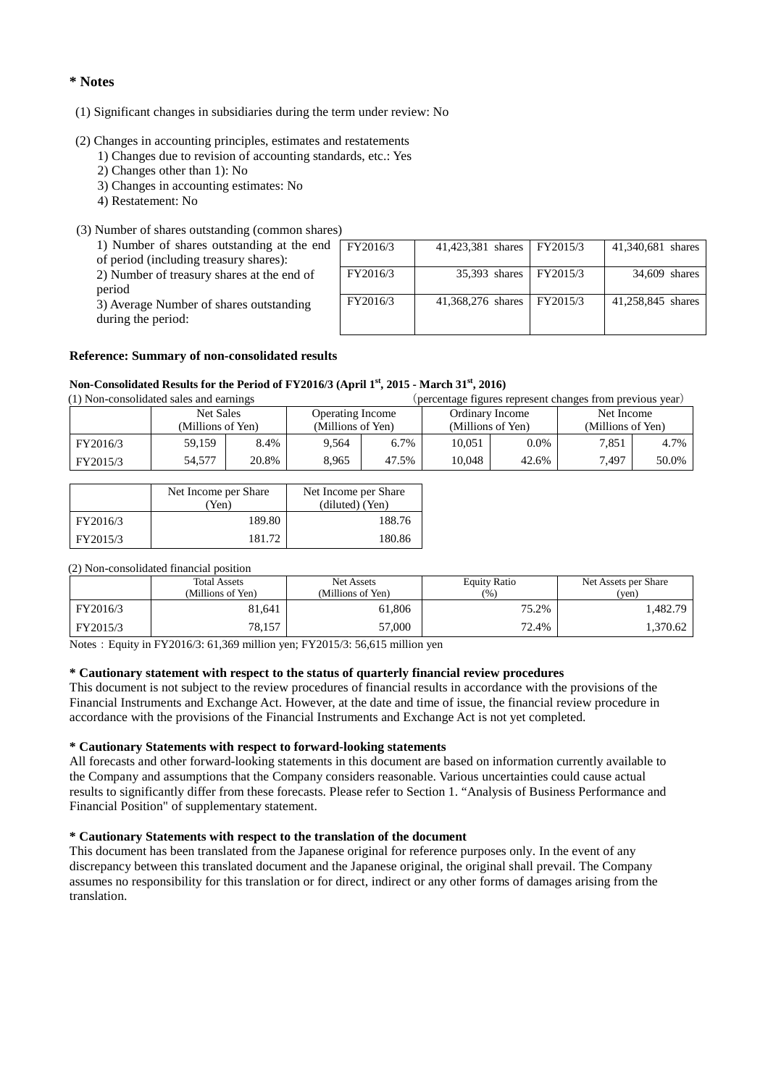#### **\* Notes**

#### (1) Significant changes in subsidiaries during the term under review: No

- (2) Changes in accounting principles, estimates and restatements
	- 1) Changes due to revision of accounting standards, etc.: Yes
	- 2) Changes other than 1): No
	- 3) Changes in accounting estimates: No
	- 4) Restatement: No
- (3) Number of shares outstanding (common shares)

| 1) Number of shares outstanding at the end |
|--------------------------------------------|
| of period (including treasury shares):     |

2) Number of treasury shares at the end of

period

3) Average Number of shares outstanding during the period:

| FY2016/3 | 41,423,381 shares | FY2015/3 | 41,340,681 shares |
|----------|-------------------|----------|-------------------|
| FY2016/3 | 35,393 shares     | FY2015/3 | 34,609 shares     |
| FY2016/3 | 41,368,276 shares | FY2015/3 | 41,258,845 shares |

#### **Reference: Summary of non-consolidated results**

#### **Non-Consolidated Results for the Period of FY2016/3 (April 1st, 2015 - March 31st, 2016)**

| (1) Non-consolidated sales and earnings |                   |       |                         |         | (percentage figures represent changes from previous year) |                   |                   |       |
|-----------------------------------------|-------------------|-------|-------------------------|---------|-----------------------------------------------------------|-------------------|-------------------|-------|
|                                         | Net Sales         |       | <b>Operating Income</b> |         | Ordinary Income                                           |                   | Net Income        |       |
|                                         | (Millions of Yen) |       | (Millions of Yen)       |         |                                                           | (Millions of Yen) | (Millions of Yen) |       |
| FY2016/3                                | 59.159            | 8.4%  | 9.564                   | $6.7\%$ | 10.051                                                    | $0.0\%$           | 7.851             | 4.7%  |
| FY2015/3                                | 54,577            | 20.8% | 8.965                   | 47.5%   | 10.048                                                    | 42.6%             | 7.497             | 50.0% |

|          | Net Income per Share<br>Yen) | Net Income per Share<br>(diluted) (Yen) |
|----------|------------------------------|-----------------------------------------|
| FY2016/3 | 189.80                       | 188.76                                  |
| FY2015/3 | 181.72                       | 180.86                                  |

#### (2) Non-consolidated financial position

|          | <b>Total Assets</b><br>(Millions of Yen) | Net Assets<br>(Millions of Yen) | <b>Equity Ratio</b><br>(96) | Net Assets per Share<br>(ven) |
|----------|------------------------------------------|---------------------------------|-----------------------------|-------------------------------|
| FY2016/3 | 81.641                                   | 61.806                          | 75.2%                       | .482.79                       |
| FY2015/3 | 78.157                                   | 57,000                          | 72.4%                       | .370.62                       |

Notes: Equity in FY2016/3: 61,369 million yen; FY2015/3: 56,615 million yen

#### **\* Cautionary statement with respect to the status of quarterly financial review procedures**

This document is not subject to the review procedures of financial results in accordance with the provisions of the Financial Instruments and Exchange Act. However, at the date and time of issue, the financial review procedure in accordance with the provisions of the Financial Instruments and Exchange Act is not yet completed.

#### **\* Cautionary Statements with respect to forward-looking statements**

All forecasts and other forward-looking statements in this document are based on information currently available to the Company and assumptions that the Company considers reasonable. Various uncertainties could cause actual results to significantly differ from these forecasts. Please refer to Section 1. "Analysis of Business Performance and Financial Position" of supplementary statement.

#### **\* Cautionary Statements with respect to the translation of the document**

This document has been translated from the Japanese original for reference purposes only. In the event of any discrepancy between this translated document and the Japanese original, the original shall prevail. The Company assumes no responsibility for this translation or for direct, indirect or any other forms of damages arising from the translation.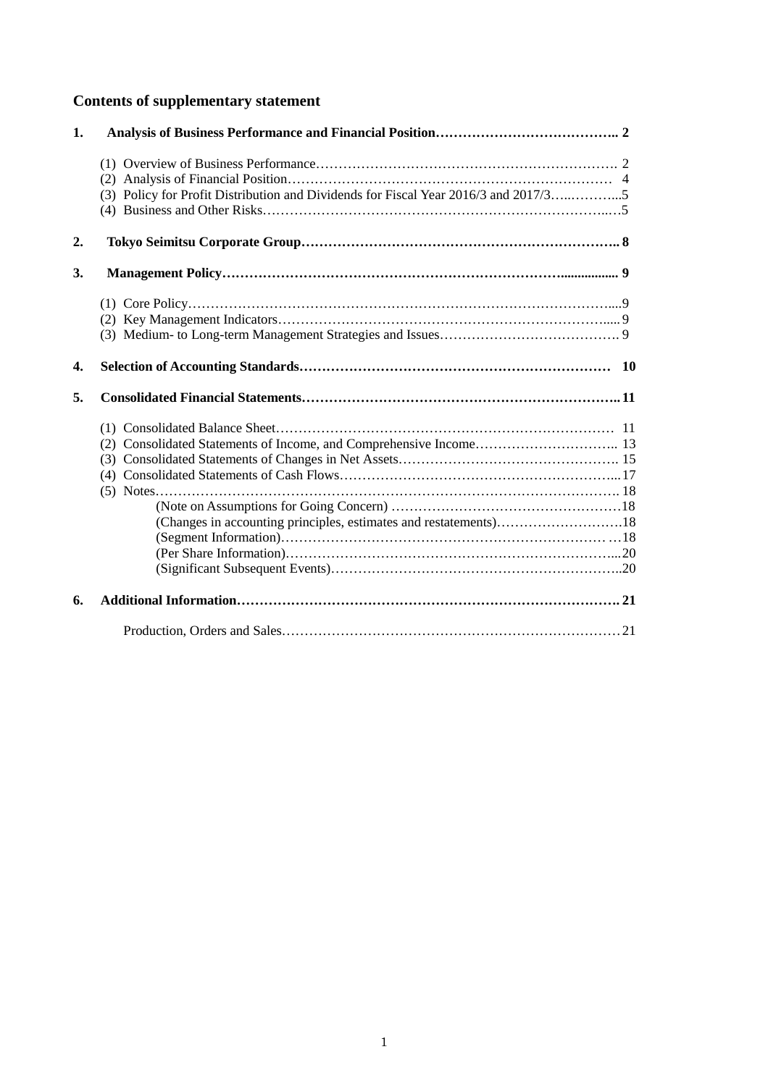# **Contents of supplementary statement**

| 1.               |                                                                                     |  |
|------------------|-------------------------------------------------------------------------------------|--|
|                  |                                                                                     |  |
|                  |                                                                                     |  |
|                  | (3) Policy for Profit Distribution and Dividends for Fiscal Year 2016/3 and 2017/35 |  |
|                  |                                                                                     |  |
|                  |                                                                                     |  |
| 2.               |                                                                                     |  |
| 3.               |                                                                                     |  |
|                  |                                                                                     |  |
|                  |                                                                                     |  |
|                  |                                                                                     |  |
| $\overline{4}$ . |                                                                                     |  |
|                  |                                                                                     |  |
| 5.               |                                                                                     |  |
|                  |                                                                                     |  |
|                  |                                                                                     |  |
|                  |                                                                                     |  |
|                  |                                                                                     |  |
|                  |                                                                                     |  |
|                  |                                                                                     |  |
|                  | (Changes in accounting principles, estimates and restatements)18                    |  |
|                  |                                                                                     |  |
|                  |                                                                                     |  |
|                  |                                                                                     |  |
| 6.               |                                                                                     |  |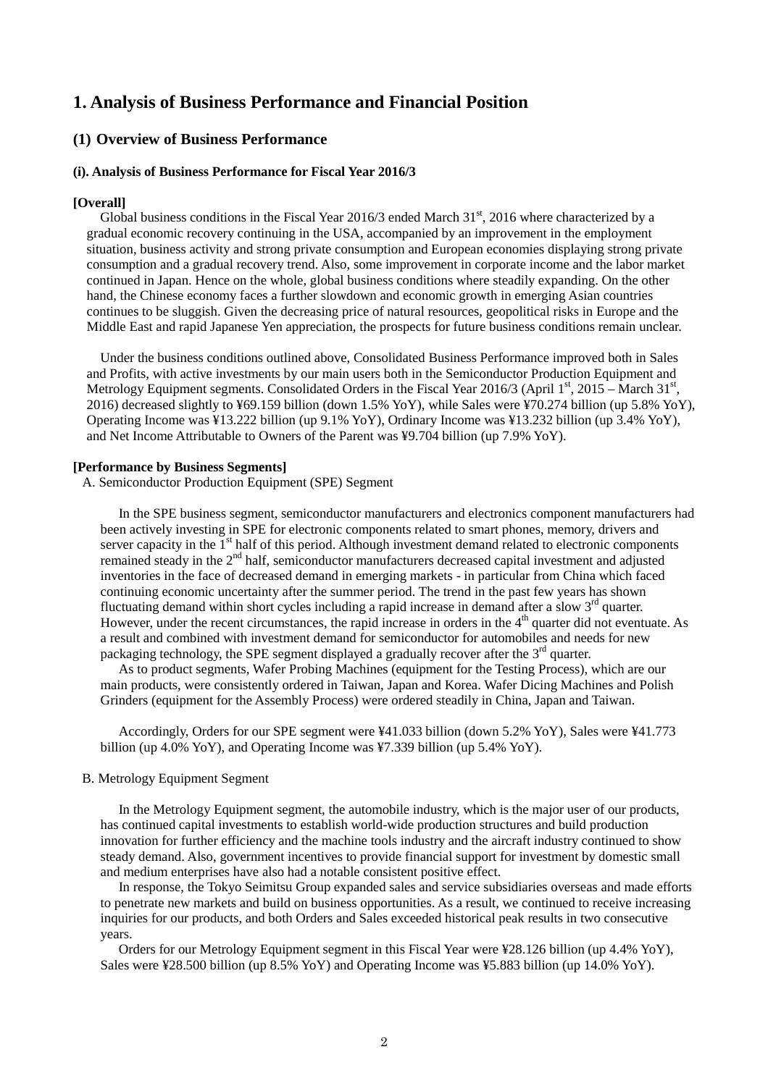### **1. Analysis of Business Performance and Financial Position**

#### **(1) Overview of Business Performance**

#### **(i). Analysis of Business Performance for Fiscal Year 2016/3**

#### **[Overall]**

Global business conditions in the Fiscal Year 2016/3 ended March  $31<sup>st</sup>$ , 2016 where characterized by a gradual economic recovery continuing in the USA, accompanied by an improvement in the employment situation, business activity and strong private consumption and European economies displaying strong private consumption and a gradual recovery trend. Also, some improvement in corporate income and the labor market continued in Japan. Hence on the whole, global business conditions where steadily expanding. On the other hand, the Chinese economy faces a further slowdown and economic growth in emerging Asian countries continues to be sluggish. Given the decreasing price of natural resources, geopolitical risks in Europe and the Middle East and rapid Japanese Yen appreciation, the prospects for future business conditions remain unclear.

Under the business conditions outlined above, Consolidated Business Performance improved both in Sales and Profits, with active investments by our main users both in the Semiconductor Production Equipment and Metrology Equipment segments. Consolidated Orders in the Fiscal Year 2016/3 (April  $1<sup>st</sup>$ , 2015 – March 31 $<sup>st</sup>$ ,</sup> 2016) decreased slightly to ¥69.159 billion (down 1.5% YoY), while Sales were ¥70.274 billion (up 5.8% YoY), Operating Income was ¥13.222 billion (up 9.1% YoY), Ordinary Income was ¥13.232 billion (up 3.4% YoY), and Net Income Attributable to Owners of the Parent was ¥9.704 billion (up 7.9% YoY).

#### **[Performance by Business Segments]**

A. Semiconductor Production Equipment (SPE) Segment

In the SPE business segment, semiconductor manufacturers and electronics component manufacturers had been actively investing in SPE for electronic components related to smart phones, memory, drivers and server capacity in the 1<sup>st</sup> half of this period. Although investment demand related to electronic components remained steady in the 2<sup>nd</sup> half, semiconductor manufacturers decreased capital investment and adjusted inventories in the face of decreased demand in emerging markets - in particular from China which faced continuing economic uncertainty after the summer period. The trend in the past few years has shown fluctuating demand within short cycles including a rapid increase in demand after a slow 3<sup>rd</sup> quarter. However, under the recent circumstances, the rapid increase in orders in the  $4<sup>th</sup>$  quarter did not eventuate. As a result and combined with investment demand for semiconductor for automobiles and needs for new packaging technology, the SPE segment displayed a gradually recover after the  $3<sup>rd</sup>$  quarter.

As to product segments, Wafer Probing Machines (equipment for the Testing Process), which are our main products, were consistently ordered in Taiwan, Japan and Korea. Wafer Dicing Machines and Polish Grinders (equipment for the Assembly Process) were ordered steadily in China, Japan and Taiwan.

Accordingly, Orders for our SPE segment were ¥41.033 billion (down 5.2% YoY), Sales were ¥41.773 billion (up 4.0% YoY), and Operating Income was ¥7.339 billion (up 5.4% YoY).

#### B. Metrology Equipment Segment

In the Metrology Equipment segment, the automobile industry, which is the major user of our products, has continued capital investments to establish world-wide production structures and build production innovation for further efficiency and the machine tools industry and the aircraft industry continued to show steady demand. Also, government incentives to provide financial support for investment by domestic small and medium enterprises have also had a notable consistent positive effect.

In response, the Tokyo Seimitsu Group expanded sales and service subsidiaries overseas and made efforts to penetrate new markets and build on business opportunities. As a result, we continued to receive increasing inquiries for our products, and both Orders and Sales exceeded historical peak results in two consecutive years.

Orders for our Metrology Equipment segment in this Fiscal Year were ¥28.126 billion (up 4.4% YoY), Sales were ¥28.500 billion (up 8.5% YoY) and Operating Income was ¥5.883 billion (up 14.0% YoY).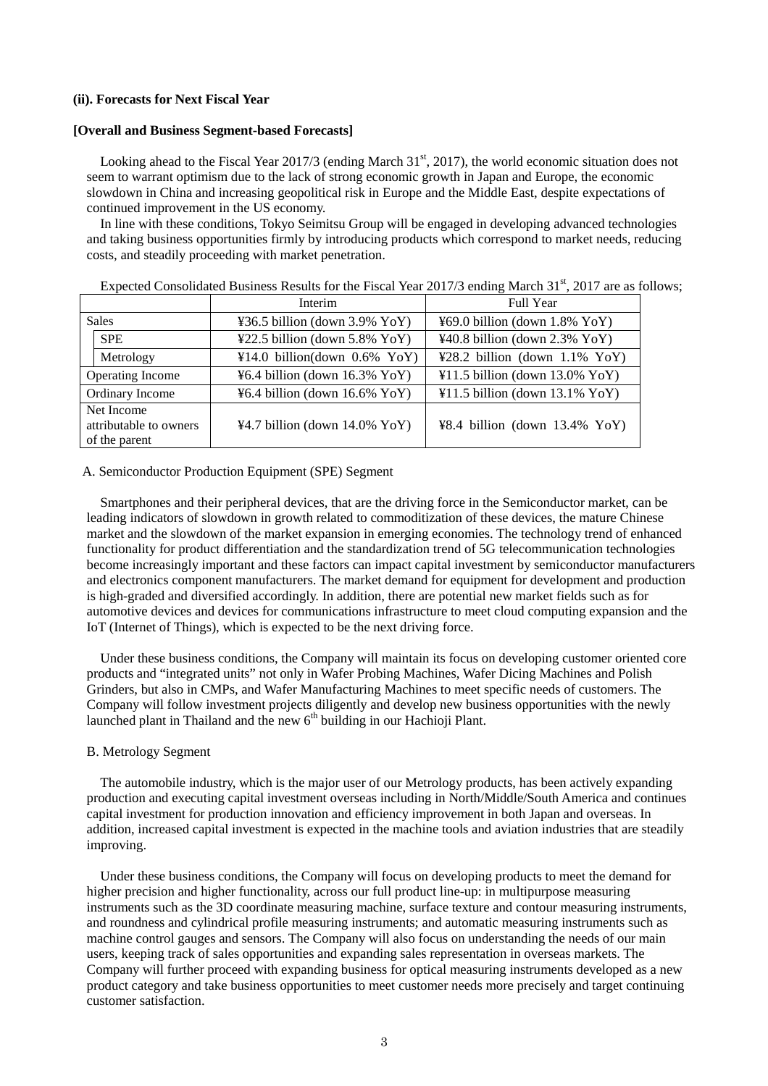#### **(ii). Forecasts for Next Fiscal Year**

#### **[Overall and Business Segment-based Forecasts]**

Looking ahead to the Fiscal Year 2017/3 (ending March 31<sup>st</sup>, 2017), the world economic situation does not seem to warrant optimism due to the lack of strong economic growth in Japan and Europe, the economic slowdown in China and increasing geopolitical risk in Europe and the Middle East, despite expectations of continued improvement in the US economy.

In line with these conditions, Tokyo Seimitsu Group will be engaged in developing advanced technologies and taking business opportunities firmly by introducing products which correspond to market needs, reducing costs, and steadily proceeding with market penetration.

|                                                       |            | Interim                                                    | Full Year                                          |  |
|-------------------------------------------------------|------------|------------------------------------------------------------|----------------------------------------------------|--|
| <b>Sales</b>                                          |            | ¥36.5 billion (down $3.9\%$ YoY)                           | ¥69.0 billion (down $1.8\%$ YoY)                   |  |
|                                                       | <b>SPE</b> | $\text{\textsterling}22.5$ billion (down 5.8% YoY)         | $\text{\textsterling}40.8$ billion (down 2.3% YoY) |  |
|                                                       | Metrology  | $\text{\textsterling}14.0 \text{ billion}$ (down 0.6% YoY) | $\text{\textsterling}28.2$ billion (down 1.1% YoY) |  |
| <b>Operating Income</b>                               |            | $\text{\textsterling}6.4$ billion (down 16.3% YoY)         | $41.5$ billion (down 13.0% YoY)                    |  |
| Ordinary Income                                       |            | ¥6.4 billion (down $16.6\%$ YoY)                           | $41.5$ billion (down 13.1% YoY)                    |  |
| Net Income<br>attributable to owners<br>of the parent |            | $44.7$ billion (down 14.0% YoY)                            | $48.4$ billion (down 13.4% YoY)                    |  |

Expected Consolidated Business Results for the Fiscal Year 2017/3 ending March  $31<sup>st</sup>$ , 2017 are as follows;

#### A. Semiconductor Production Equipment (SPE) Segment

Smartphones and their peripheral devices, that are the driving force in the Semiconductor market, can be leading indicators of slowdown in growth related to commoditization of these devices, the mature Chinese market and the slowdown of the market expansion in emerging economies. The technology trend of enhanced functionality for product differentiation and the standardization trend of 5G telecommunication technologies become increasingly important and these factors can impact capital investment by semiconductor manufacturers and electronics component manufacturers. The market demand for equipment for development and production is high-graded and diversified accordingly. In addition, there are potential new market fields such as for automotive devices and devices for communications infrastructure to meet cloud computing expansion and the IoT (Internet of Things), which is expected to be the next driving force.

Under these business conditions, the Company will maintain its focus on developing customer oriented core products and "integrated units" not only in Wafer Probing Machines, Wafer Dicing Machines and Polish Grinders, but also in CMPs, and Wafer Manufacturing Machines to meet specific needs of customers. The Company will follow investment projects diligently and develop new business opportunities with the newly launched plant in Thailand and the new  $6<sup>th</sup>$  building in our Hachioji Plant.

#### B. Metrology Segment

The automobile industry, which is the major user of our Metrology products, has been actively expanding production and executing capital investment overseas including in North/Middle/South America and continues capital investment for production innovation and efficiency improvement in both Japan and overseas. In addition, increased capital investment is expected in the machine tools and aviation industries that are steadily improving.

Under these business conditions, the Company will focus on developing products to meet the demand for higher precision and higher functionality, across our full product line-up: in multipurpose measuring instruments such as the 3D coordinate measuring machine, surface texture and contour measuring instruments, and roundness and cylindrical profile measuring instruments; and automatic measuring instruments such as machine control gauges and sensors. The Company will also focus on understanding the needs of our main users, keeping track of sales opportunities and expanding sales representation in overseas markets. The Company will further proceed with expanding business for optical measuring instruments developed as a new product category and take business opportunities to meet customer needs more precisely and target continuing customer satisfaction.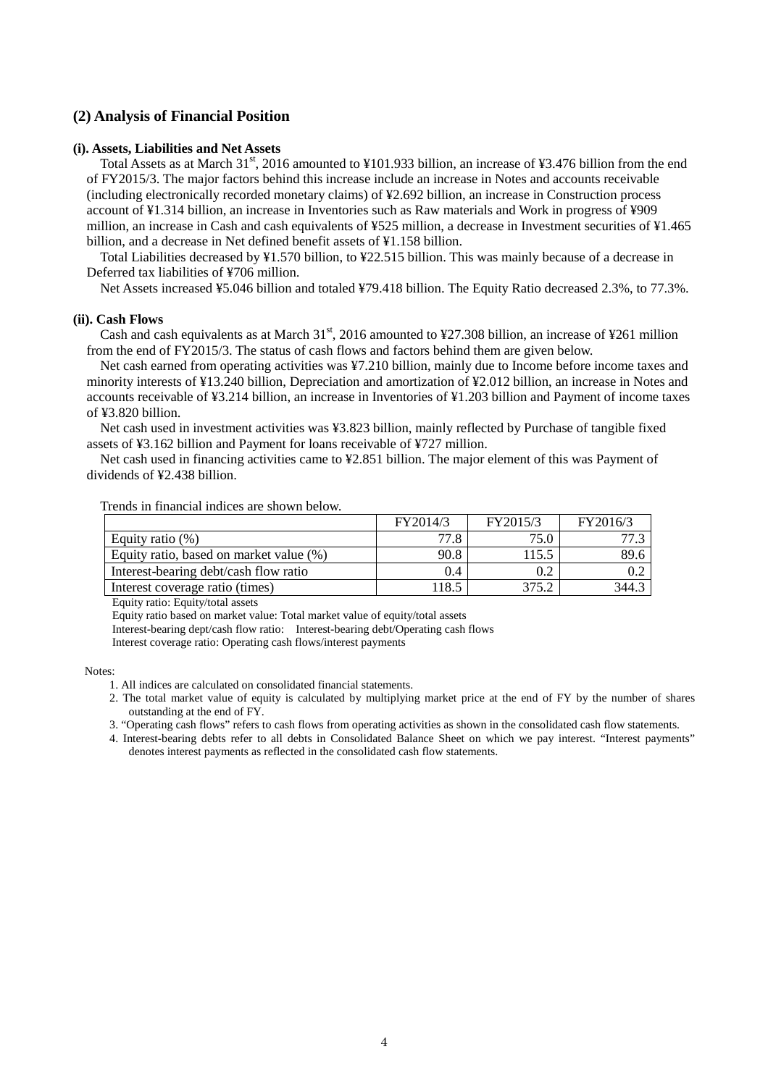#### **(2) Analysis of Financial Position**

#### **(i). Assets, Liabilities and Net Assets**

Total Assets as at March 31<sup>st</sup>, 2016 amounted to ¥101.933 billion, an increase of ¥3.476 billion from the end of FY2015/3. The major factors behind this increase include an increase in Notes and accounts receivable (including electronically recorded monetary claims) of ¥2.692 billion, an increase in Construction process account of ¥1.314 billion, an increase in Inventories such as Raw materials and Work in progress of ¥909 million, an increase in Cash and cash equivalents of ¥525 million, a decrease in Investment securities of ¥1.465 billion, and a decrease in Net defined benefit assets of ¥1.158 billion.

Total Liabilities decreased by ¥1.570 billion, to ¥22.515 billion. This was mainly because of a decrease in Deferred tax liabilities of ¥706 million.

Net Assets increased ¥5.046 billion and totaled ¥79.418 billion. The Equity Ratio decreased 2.3%, to 77.3%.

#### **(ii). Cash Flows**

Cash and cash equivalents as at March  $31<sup>st</sup>$ , 2016 amounted to ¥27.308 billion, an increase of ¥261 million from the end of FY2015/3. The status of cash flows and factors behind them are given below.

Net cash earned from operating activities was ¥7.210 billion, mainly due to Income before income taxes and minority interests of ¥13.240 billion, Depreciation and amortization of ¥2.012 billion, an increase in Notes and accounts receivable of ¥3.214 billion, an increase in Inventories of ¥1.203 billion and Payment of income taxes of ¥3.820 billion.

Net cash used in investment activities was ¥3.823 billion, mainly reflected by Purchase of tangible fixed assets of ¥3.162 billion and Payment for loans receivable of ¥727 million.

Net cash used in financing activities came to ¥2.851 billion. The major element of this was Payment of dividends of ¥2.438 billion.

#### Trends in financial indices are shown below.

|                                         | FY2014/3 | FY2015/3 | FY2016/3 |
|-----------------------------------------|----------|----------|----------|
| Equity ratio $(\%)$                     | 77.8     | 75.0     |          |
| Equity ratio, based on market value (%) | 90.8     | 115.5    | 89.6     |
| Interest-bearing debt/cash flow ratio   | 0.4      |          |          |
| Interest coverage ratio (times)         | 118.5    | 375.2    | 344.3    |

Equity ratio: Equity/total assets

Equity ratio based on market value: Total market value of equity/total assets

Interest-bearing dept/cash flow ratio: Interest-bearing debt/Operating cash flows

Interest coverage ratio: Operating cash flows/interest payments

Notes:

2. The total market value of equity is calculated by multiplying market price at the end of FY by the number of shares outstanding at the end of FY.

3. "Operating cash flows" refers to cash flows from operating activities as shown in the consolidated cash flow statements.

4. Interest-bearing debts refer to all debts in Consolidated Balance Sheet on which we pay interest. "Interest payments" denotes interest payments as reflected in the consolidated cash flow statements.

<sup>1.</sup> All indices are calculated on consolidated financial statements.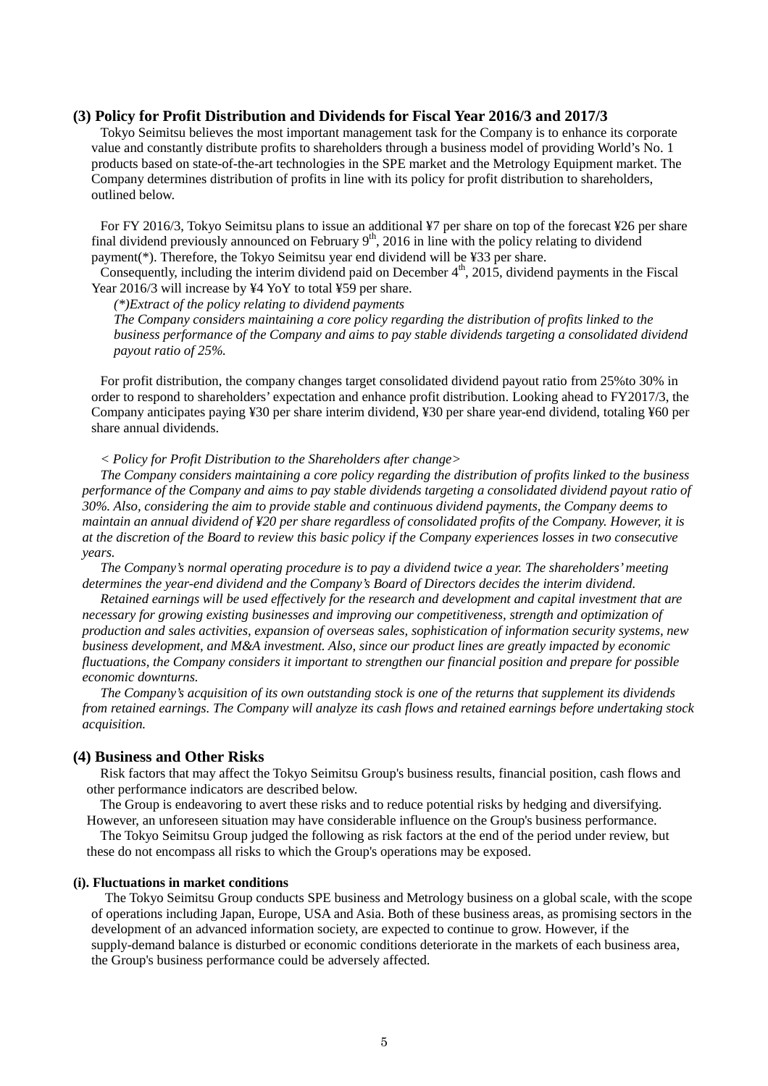#### **(3) Policy for Profit Distribution and Dividends for Fiscal Year 2016/3 and 2017/3**

Tokyo Seimitsu believes the most important management task for the Company is to enhance its corporate value and constantly distribute profits to shareholders through a business model of providing World's No. 1 products based on state-of-the-art technologies in the SPE market and the Metrology Equipment market. The Company determines distribution of profits in line with its policy for profit distribution to shareholders, outlined below.

For FY 2016/3, Tokyo Seimitsu plans to issue an additional ¥7 per share on top of the forecast ¥26 per share final dividend previously announced on February  $9<sup>th</sup>$ , 2016 in line with the policy relating to dividend payment(\*). Therefore, the Tokyo Seimitsu year end dividend will be ¥33 per share.

Consequently, including the interim dividend paid on December  $4<sup>th</sup>$ , 2015, dividend payments in the Fiscal Year 2016/3 will increase by ¥4 YoY to total ¥59 per share.

*(\*)Extract of the policy relating to dividend payments* 

*The Company considers maintaining a core policy regarding the distribution of profits linked to the business performance of the Company and aims to pay stable dividends targeting a consolidated dividend payout ratio of 25%.*

For profit distribution, the company changes target consolidated dividend payout ratio from 25%to 30% in order to respond to shareholders' expectation and enhance profit distribution. Looking ahead to FY2017/3, the Company anticipates paying ¥30 per share interim dividend, ¥30 per share year-end dividend, totaling ¥60 per share annual dividends.

*< Policy for Profit Distribution to the Shareholders after change>* 

*The Company considers maintaining a core policy regarding the distribution of profits linked to the business performance of the Company and aims to pay stable dividends targeting a consolidated dividend payout ratio of 30%. Also, considering the aim to provide stable and continuous dividend payments, the Company deems to maintain an annual dividend of ¥20 per share regardless of consolidated profits of the Company. However, it is at the discretion of the Board to review this basic policy if the Company experiences losses in two consecutive years.* 

*The Company's normal operating procedure is to pay a dividend twice a year. The shareholders' meeting determines the year-end dividend and the Company's Board of Directors decides the interim dividend.* 

*Retained earnings will be used effectively for the research and development and capital investment that are necessary for growing existing businesses and improving our competitiveness, strength and optimization of production and sales activities, expansion of overseas sales, sophistication of information security systems, new business development, and M&A investment. Also, since our product lines are greatly impacted by economic fluctuations, the Company considers it important to strengthen our financial position and prepare for possible economic downturns.* 

*The Company's acquisition of its own outstanding stock is one of the returns that supplement its dividends from retained earnings. The Company will analyze its cash flows and retained earnings before undertaking stock acquisition.* 

#### **(4) Business and Other Risks**

Risk factors that may affect the Tokyo Seimitsu Group's business results, financial position, cash flows and other performance indicators are described below.

The Group is endeavoring to avert these risks and to reduce potential risks by hedging and diversifying. However, an unforeseen situation may have considerable influence on the Group's business performance.

The Tokyo Seimitsu Group judged the following as risk factors at the end of the period under review, but these do not encompass all risks to which the Group's operations may be exposed.

#### **(i). Fluctuations in market conditions**

The Tokyo Seimitsu Group conducts SPE business and Metrology business on a global scale, with the scope of operations including Japan, Europe, USA and Asia. Both of these business areas, as promising sectors in the development of an advanced information society, are expected to continue to grow. However, if the supply-demand balance is disturbed or economic conditions deteriorate in the markets of each business area, the Group's business performance could be adversely affected.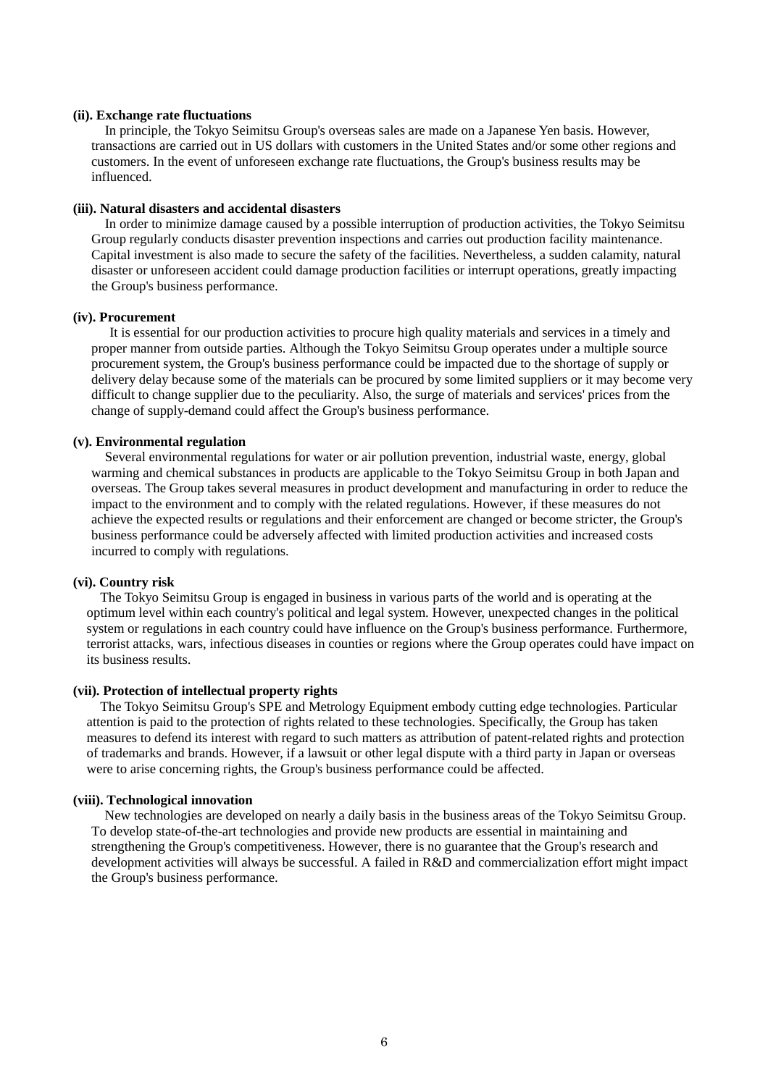#### **(ii). Exchange rate fluctuations**

In principle, the Tokyo Seimitsu Group's overseas sales are made on a Japanese Yen basis. However, transactions are carried out in US dollars with customers in the United States and/or some other regions and customers. In the event of unforeseen exchange rate fluctuations, the Group's business results may be influenced.

#### **(iii). Natural disasters and accidental disasters**

In order to minimize damage caused by a possible interruption of production activities, the Tokyo Seimitsu Group regularly conducts disaster prevention inspections and carries out production facility maintenance. Capital investment is also made to secure the safety of the facilities. Nevertheless, a sudden calamity, natural disaster or unforeseen accident could damage production facilities or interrupt operations, greatly impacting the Group's business performance.

#### **(iv). Procurement**

It is essential for our production activities to procure high quality materials and services in a timely and proper manner from outside parties. Although the Tokyo Seimitsu Group operates under a multiple source procurement system, the Group's business performance could be impacted due to the shortage of supply or delivery delay because some of the materials can be procured by some limited suppliers or it may become very difficult to change supplier due to the peculiarity. Also, the surge of materials and services' prices from the change of supply-demand could affect the Group's business performance.

#### **(v). Environmental regulation**

Several environmental regulations for water or air pollution prevention, industrial waste, energy, global warming and chemical substances in products are applicable to the Tokyo Seimitsu Group in both Japan and overseas. The Group takes several measures in product development and manufacturing in order to reduce the impact to the environment and to comply with the related regulations. However, if these measures do not achieve the expected results or regulations and their enforcement are changed or become stricter, the Group's business performance could be adversely affected with limited production activities and increased costs incurred to comply with regulations.

#### **(vi). Country risk**

The Tokyo Seimitsu Group is engaged in business in various parts of the world and is operating at the optimum level within each country's political and legal system. However, unexpected changes in the political system or regulations in each country could have influence on the Group's business performance. Furthermore, terrorist attacks, wars, infectious diseases in counties or regions where the Group operates could have impact on its business results.

#### **(vii). Protection of intellectual property rights**

The Tokyo Seimitsu Group's SPE and Metrology Equipment embody cutting edge technologies. Particular attention is paid to the protection of rights related to these technologies. Specifically, the Group has taken measures to defend its interest with regard to such matters as attribution of patent-related rights and protection of trademarks and brands. However, if a lawsuit or other legal dispute with a third party in Japan or overseas were to arise concerning rights, the Group's business performance could be affected.

#### **(viii). Technological innovation**

New technologies are developed on nearly a daily basis in the business areas of the Tokyo Seimitsu Group. To develop state-of-the-art technologies and provide new products are essential in maintaining and strengthening the Group's competitiveness. However, there is no guarantee that the Group's research and development activities will always be successful. A failed in R&D and commercialization effort might impact the Group's business performance.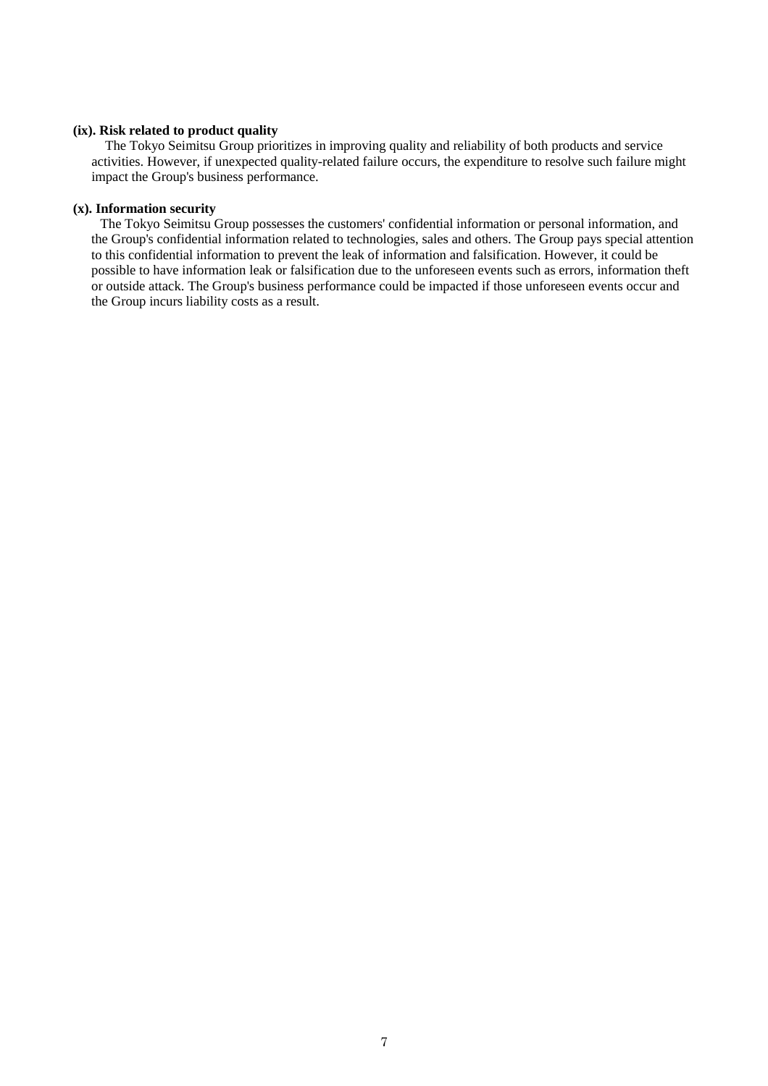#### **(ix). Risk related to product quality**

The Tokyo Seimitsu Group prioritizes in improving quality and reliability of both products and service activities. However, if unexpected quality-related failure occurs, the expenditure to resolve such failure might impact the Group's business performance.

#### **(x). Information security**

 The Tokyo Seimitsu Group possesses the customers' confidential information or personal information, and the Group's confidential information related to technologies, sales and others. The Group pays special attention to this confidential information to prevent the leak of information and falsification. However, it could be possible to have information leak or falsification due to the unforeseen events such as errors, information theft or outside attack. The Group's business performance could be impacted if those unforeseen events occur and the Group incurs liability costs as a result.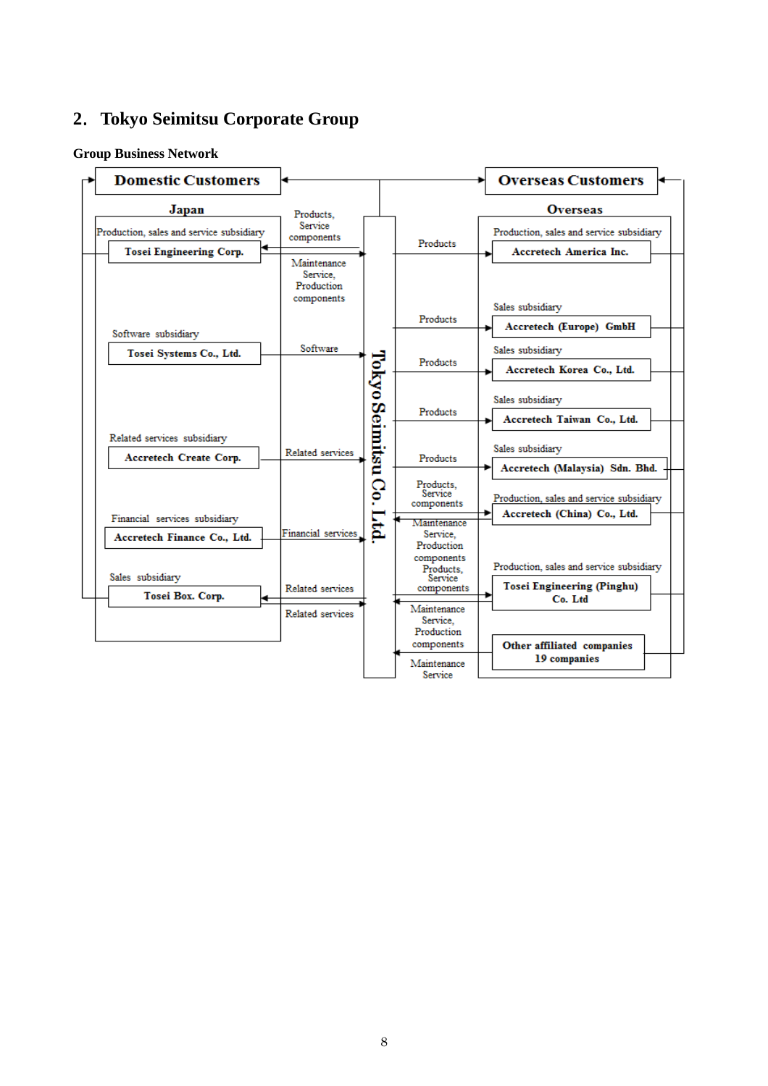# .**Tokyo Seimitsu Corporate Group**

#### **Group Business Network**

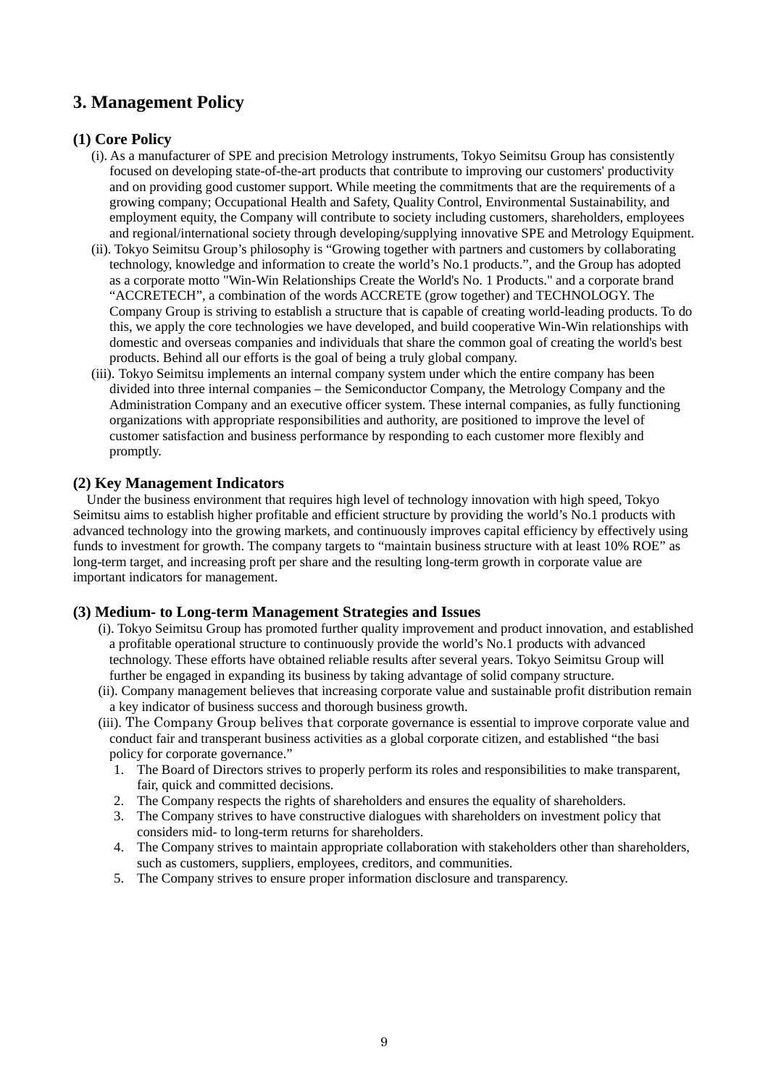# **3. Management Policy**

### **(1) Core Policy**

- (i). As a manufacturer of SPE and precision Metrology instruments, Tokyo Seimitsu Group has consistently focused on developing state-of-the-art products that contribute to improving our customers' productivity and on providing good customer support. While meeting the commitments that are the requirements of a growing company; Occupational Health and Safety, Quality Control, Environmental Sustainability, and employment equity, the Company will contribute to society including customers, shareholders, employees and regional/international society through developing/supplying innovative SPE and Metrology Equipment.
- (ii). Tokyo Seimitsu Group's philosophy is "Growing together with partners and customers by collaborating technology, knowledge and information to create the world's No.1 products.", and the Group has adopted as a corporate motto "Win-Win Relationships Create the World's No. 1 Products." and a corporate brand "ACCRETECH", a combination of the words ACCRETE (grow together) and TECHNOLOGY. The Company Group is striving to establish a structure that is capable of creating world-leading products. To do this, we apply the core technologies we have developed, and build cooperative Win-Win relationships with domestic and overseas companies and individuals that share the common goal of creating the world's best products. Behind all our efforts is the goal of being a truly global company.
- (iii). Tokyo Seimitsu implements an internal company system under which the entire company has been divided into three internal companies – the Semiconductor Company, the Metrology Company and the Administration Company and an executive officer system. These internal companies, as fully functioning organizations with appropriate responsibilities and authority, are positioned to improve the level of customer satisfaction and business performance by responding to each customer more flexibly and promptly.

#### **(2) Key Management Indicators**

Under the business environment that requires high level of technology innovation with high speed, Tokyo Seimitsu aims to establish higher profitable and efficient structure by providing the world's No.1 products with advanced technology into the growing markets, and continuously improves capital efficiency by effectively using funds to investment for growth. The company targets to "maintain business structure with at least 10% ROE" as long-term target, and increasing proft per share and the resulting long-term growth in corporate value are important indicators for management.

#### **(3) Medium- to Long-term Management Strategies and Issues**

- (i). Tokyo Seimitsu Group has promoted further quality improvement and product innovation, and established a profitable operational structure to continuously provide the world's No.1 products with advanced technology. These efforts have obtained reliable results after several years. Tokyo Seimitsu Group will further be engaged in expanding its business by taking advantage of solid company structure.
- (ii). Company management believes that increasing corporate value and sustainable profit distribution remain a key indicator of business success and thorough business growth.
- (iii). The Company Group belives that corporate governance is essential to improve corporate value and conduct fair and transperant business activities as a global corporate citizen, and established "the basi policy for corporate governance."
	- 1. The Board of Directors strives to properly perform its roles and responsibilities to make transparent, fair, quick and committed decisions.
	- 2. The Company respects the rights of shareholders and ensures the equality of shareholders.
	- 3. The Company strives to have constructive dialogues with shareholders on investment policy that considers mid- to long-term returns for shareholders.
	- 4. The Company strives to maintain appropriate collaboration with stakeholders other than shareholders, such as customers, suppliers, employees, creditors, and communities.
	- 5. The Company strives to ensure proper information disclosure and transparency.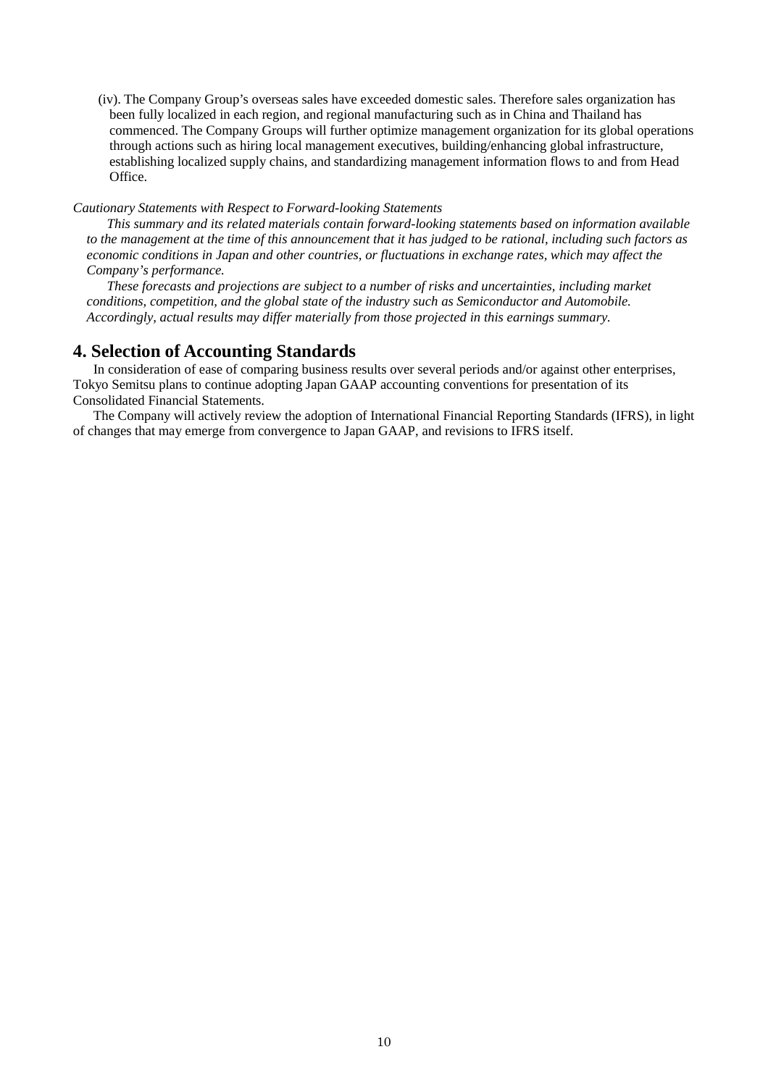(iv). The Company Group's overseas sales have exceeded domestic sales. Therefore sales organization has been fully localized in each region, and regional manufacturing such as in China and Thailand has commenced. The Company Groups will further optimize management organization for its global operations through actions such as hiring local management executives, building/enhancing global infrastructure, establishing localized supply chains, and standardizing management information flows to and from Head Office.

#### *Cautionary Statements with Respect to Forward-looking Statements*

*This summary and its related materials contain forward-looking statements based on information available to the management at the time of this announcement that it has judged to be rational, including such factors as economic conditions in Japan and other countries, or fluctuations in exchange rates, which may affect the Company's performance.* 

*These forecasts and projections are subject to a number of risks and uncertainties, including market conditions, competition, and the global state of the industry such as Semiconductor and Automobile. Accordingly, actual results may differ materially from those projected in this earnings summary.* 

### **4. Selection of Accounting Standards**

In consideration of ease of comparing business results over several periods and/or against other enterprises, Tokyo Semitsu plans to continue adopting Japan GAAP accounting conventions for presentation of its Consolidated Financial Statements.

The Company will actively review the adoption of International Financial Reporting Standards (IFRS), in light of changes that may emerge from convergence to Japan GAAP, and revisions to IFRS itself.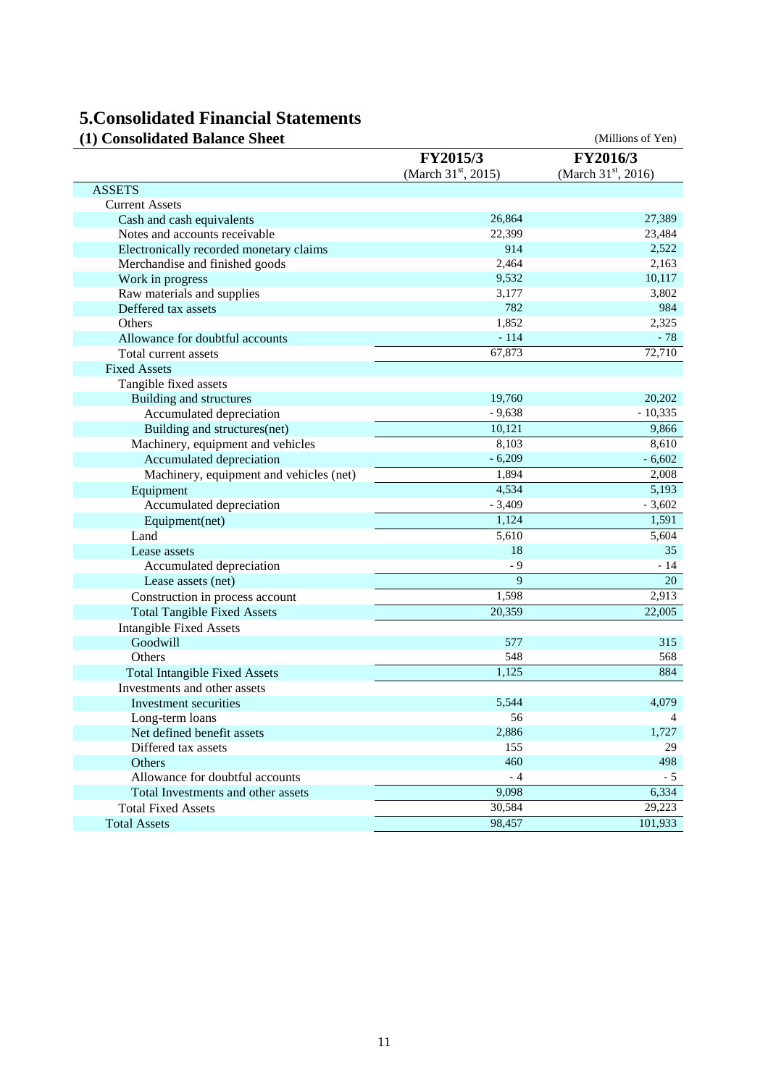# **5.Consolidated Financial Statements**

| (1) Consolidated Balance Sheet          |                                 | (Millions of Yen)               |
|-----------------------------------------|---------------------------------|---------------------------------|
|                                         | FY2015/3                        | FY2016/3                        |
|                                         | (March 31 <sup>st</sup> , 2015) | (March 31 <sup>st</sup> , 2016) |
| <b>ASSETS</b>                           |                                 |                                 |
| <b>Current Assets</b>                   |                                 |                                 |
| Cash and cash equivalents               | 26,864                          | 27,389                          |
| Notes and accounts receivable           | 22,399                          | 23,484                          |
| Electronically recorded monetary claims | 914                             | 2,522                           |
| Merchandise and finished goods          | 2,464                           | 2,163                           |
| Work in progress                        | 9,532                           | 10,117                          |
| Raw materials and supplies              | 3,177                           | 3,802                           |
| Deffered tax assets                     | 782                             | 984                             |
| Others                                  | 1,852                           | 2,325                           |
| Allowance for doubtful accounts         | $-114$                          | $-78$                           |
| Total current assets                    | 67,873                          | 72,710                          |
| <b>Fixed Assets</b>                     |                                 |                                 |
| Tangible fixed assets                   |                                 |                                 |
| Building and structures                 | 19,760                          | 20,202                          |
| Accumulated depreciation                | $-9,638$                        | $-10,335$                       |
| Building and structures(net)            | 10,121                          | 9,866                           |
| Machinery, equipment and vehicles       | 8,103                           | 8,610                           |
| Accumulated depreciation                | $-6,209$                        | $-6,602$                        |
| Machinery, equipment and vehicles (net) | 1,894                           | 2,008                           |
| Equipment                               | 4,534                           | 5,193                           |
| Accumulated depreciation                | $-3,409$                        | $-3,602$                        |
| Equipment(net)                          | 1,124                           | 1,591                           |
| Land                                    | 5,610                           | 5,604                           |
| Lease assets                            | 18                              | 35                              |
| Accumulated depreciation                | $-9$                            | - 14                            |
| Lease assets (net)                      | 9                               | 20                              |
| Construction in process account         | 1,598                           | 2,913                           |
| <b>Total Tangible Fixed Assets</b>      | 20,359                          | 22,005                          |
| <b>Intangible Fixed Assets</b>          |                                 |                                 |
| Goodwill                                | 577                             | 315                             |
| Others                                  | 548                             | 568                             |
| <b>Total Intangible Fixed Assets</b>    | 1,125                           | 884                             |
| Investments and other assets            |                                 |                                 |
| Investment securities                   | 5,544                           | 4,079                           |
| Long-term loans                         | 56                              | 4                               |
| Net defined benefit assets              | 2,886                           | 1,727                           |
| Differed tax assets                     | 155                             | 29                              |
| Others                                  | 460                             | 498                             |
| Allowance for doubtful accounts         | $-4$                            | - 5                             |
| Total Investments and other assets      | 9.098                           | 6,334                           |
| <b>Total Fixed Assets</b>               | 30,584                          | 29,223                          |
| <b>Total Assets</b>                     | 98,457                          | 101,933                         |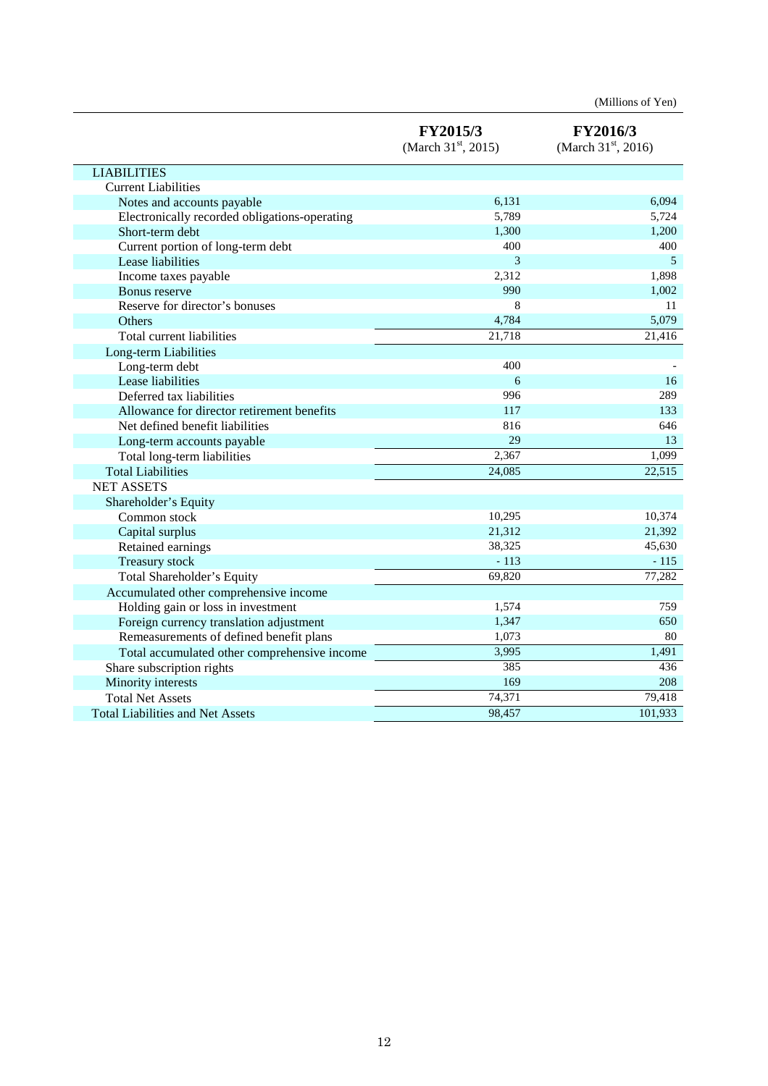|                                               | FY2015/3<br>(March $31st$ , 2015) | FY2016/3<br>(March 31 <sup>st</sup> , 2016) |
|-----------------------------------------------|-----------------------------------|---------------------------------------------|
| <b>LIABILITIES</b>                            |                                   |                                             |
| <b>Current Liabilities</b>                    |                                   |                                             |
| Notes and accounts payable                    | 6,131                             | 6,094                                       |
| Electronically recorded obligations-operating | 5,789                             | 5,724                                       |
| Short-term debt                               | 1,300                             | 1,200                                       |
| Current portion of long-term debt             | 400                               | 400                                         |
| Lease liabilities                             | 3                                 | 5                                           |
| Income taxes payable                          | 2,312                             | 1,898                                       |
| Bonus reserve                                 | 990                               | 1,002                                       |
| Reserve for director's bonuses                | 8                                 | 11                                          |
| Others                                        | 4,784                             | 5,079                                       |
| Total current liabilities                     | 21,718                            | 21,416                                      |
| Long-term Liabilities                         |                                   |                                             |
| Long-term debt                                | 400                               |                                             |
| Lease liabilities                             | 6                                 | 16                                          |
| Deferred tax liabilities                      | 996                               | 289                                         |
| Allowance for director retirement benefits    | 117                               | 133                                         |
| Net defined benefit liabilities               | 816                               | 646                                         |
| Long-term accounts payable                    | 29                                | 13                                          |
| Total long-term liabilities                   | 2,367                             | 1,099                                       |
| <b>Total Liabilities</b>                      | 24,085                            | 22,515                                      |
| <b>NET ASSETS</b>                             |                                   |                                             |
| Shareholder's Equity                          |                                   |                                             |
| Common stock                                  | 10,295                            | 10,374                                      |
| Capital surplus                               | 21,312                            | 21,392                                      |
| Retained earnings                             | 38,325                            | 45,630                                      |
| <b>Treasury stock</b>                         | $-113$                            | $-115$                                      |
| Total Shareholder's Equity                    | 69,820                            | 77,282                                      |
| Accumulated other comprehensive income        |                                   |                                             |
| Holding gain or loss in investment            | 1,574                             | 759                                         |
| Foreign currency translation adjustment       | 1,347                             | 650                                         |
| Remeasurements of defined benefit plans       | 1,073                             | 80                                          |
| Total accumulated other comprehensive income  | 3,995                             | 1,491                                       |
| Share subscription rights                     | 385                               | 436                                         |
| Minority interests                            | 169                               | 208                                         |
| <b>Total Net Assets</b>                       | 74,371                            | 79,418                                      |
| <b>Total Liabilities and Net Assets</b>       | 98,457                            | 101,933                                     |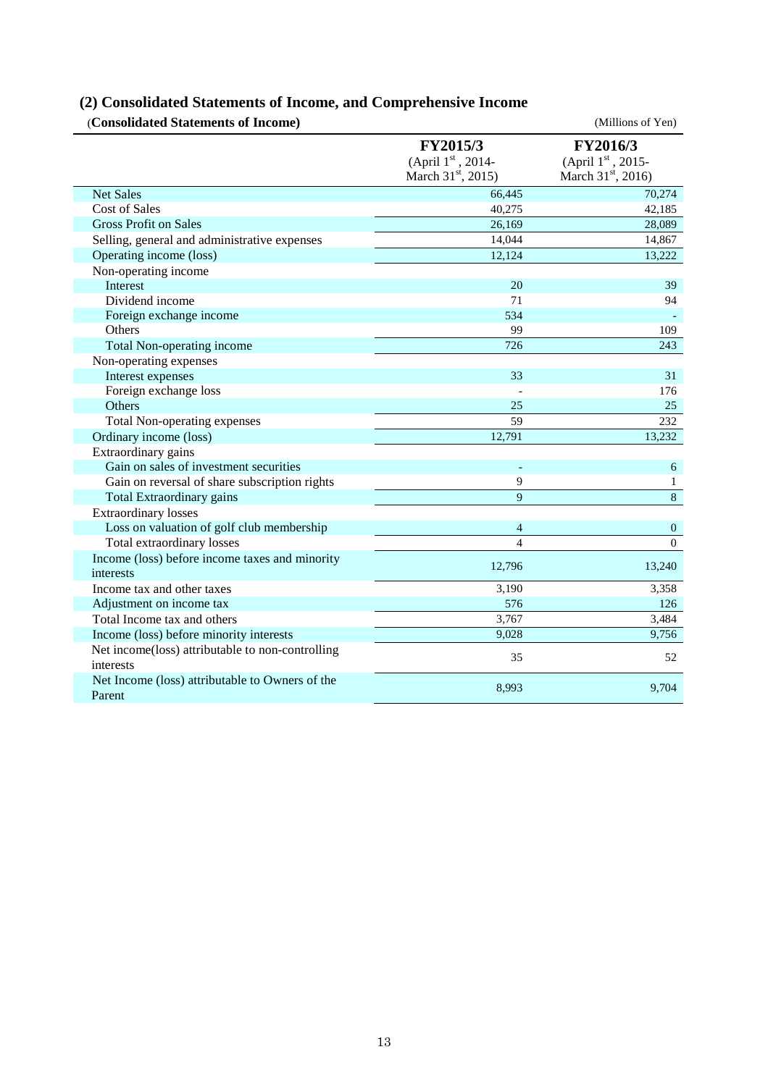# **(2) Consolidated Statements of Income, and Comprehensive Income**

| (Consolidated Statements of Income)                           |                                                                 | (Millions of Yen)                                               |
|---------------------------------------------------------------|-----------------------------------------------------------------|-----------------------------------------------------------------|
|                                                               | FY2015/3<br>(April 1st, 2014-<br>March 31 <sup>st</sup> , 2015) | FY2016/3<br>(April 1st, 2015-<br>March 31 <sup>st</sup> , 2016) |
| <b>Net Sales</b>                                              | 66,445                                                          | 70,274                                                          |
| <b>Cost of Sales</b>                                          | 40,275                                                          | 42,185                                                          |
| <b>Gross Profit on Sales</b>                                  | 26,169                                                          | 28,089                                                          |
| Selling, general and administrative expenses                  | 14,044                                                          | 14,867                                                          |
| Operating income (loss)                                       | 12,124                                                          | 13,222                                                          |
| Non-operating income                                          |                                                                 |                                                                 |
| Interest                                                      | 20                                                              | 39                                                              |
| Dividend income                                               | 71                                                              | 94                                                              |
| Foreign exchange income                                       | 534                                                             |                                                                 |
| Others                                                        | 99                                                              | 109                                                             |
| Total Non-operating income                                    | 726                                                             | 243                                                             |
| Non-operating expenses                                        |                                                                 |                                                                 |
| Interest expenses                                             | 33                                                              | 31                                                              |
| Foreign exchange loss                                         |                                                                 | 176                                                             |
| Others                                                        | 25                                                              | 25                                                              |
| <b>Total Non-operating expenses</b>                           | 59                                                              | 232                                                             |
| Ordinary income (loss)                                        | 12,791                                                          | 13,232                                                          |
| Extraordinary gains                                           |                                                                 |                                                                 |
| Gain on sales of investment securities                        |                                                                 | 6                                                               |
| Gain on reversal of share subscription rights                 | 9                                                               | $\mathbf{1}$                                                    |
| Total Extraordinary gains                                     | 9                                                               | $\,8\,$                                                         |
| <b>Extraordinary losses</b>                                   |                                                                 |                                                                 |
| Loss on valuation of golf club membership                     | $\overline{4}$                                                  | $\boldsymbol{0}$                                                |
| Total extraordinary losses                                    | $\overline{4}$                                                  | $\overline{0}$                                                  |
| Income (loss) before income taxes and minority<br>interests   | 12,796                                                          | 13,240                                                          |
| Income tax and other taxes                                    | 3,190                                                           | 3,358                                                           |
| Adjustment on income tax                                      | 576                                                             | 126                                                             |
| Total Income tax and others                                   | 3,767                                                           | 3,484                                                           |
| Income (loss) before minority interests                       | 9,028                                                           | 9,756                                                           |
| Net income(loss) attributable to non-controlling<br>interests | 35                                                              | 52                                                              |
| Net Income (loss) attributable to Owners of the<br>Parent     | 8,993                                                           | 9,704                                                           |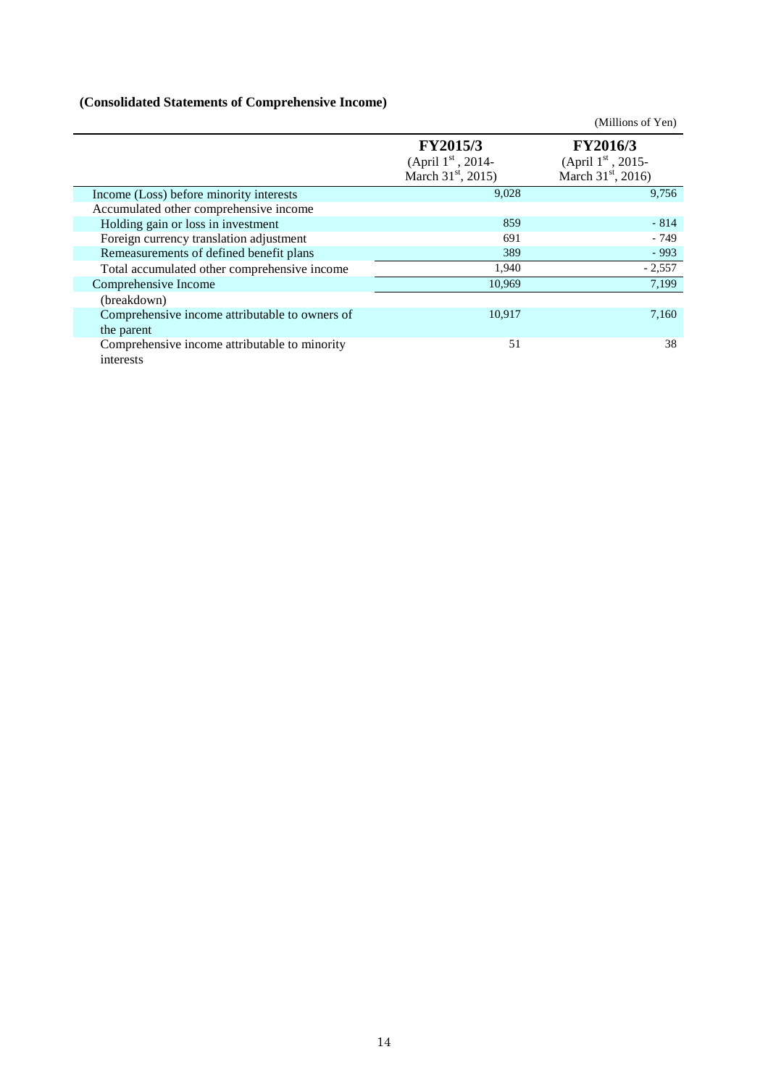# **(Consolidated Statements of Comprehensive Income)**

|                                                              |                                                                                  | (Millions of Yen)                                                         |
|--------------------------------------------------------------|----------------------------------------------------------------------------------|---------------------------------------------------------------------------|
|                                                              | <b>FY2015/3</b><br>(April $1^{\rm st}$ , 2014-<br>March $31^{\text{st}}$ , 2015) | <b>FY2016/3</b><br>(April $1st$ , 2015-<br>March $31^{\text{st}}$ , 2016) |
| Income (Loss) before minority interests                      | 9,028                                                                            | 9,756                                                                     |
| Accumulated other comprehensive income                       |                                                                                  |                                                                           |
| Holding gain or loss in investment                           | 859                                                                              | $-814$                                                                    |
| Foreign currency translation adjustment                      | 691                                                                              | $-749$                                                                    |
| Remeasurements of defined benefit plans                      | 389                                                                              | $-993$                                                                    |
| Total accumulated other comprehensive income                 | 1,940                                                                            | $-2,557$                                                                  |
| Comprehensive Income                                         | 10,969                                                                           | 7,199                                                                     |
| (breakdown)                                                  |                                                                                  |                                                                           |
| Comprehensive income attributable to owners of<br>the parent | 10,917                                                                           | 7,160                                                                     |
| Comprehensive income attributable to minority<br>interests   | 51                                                                               | 38                                                                        |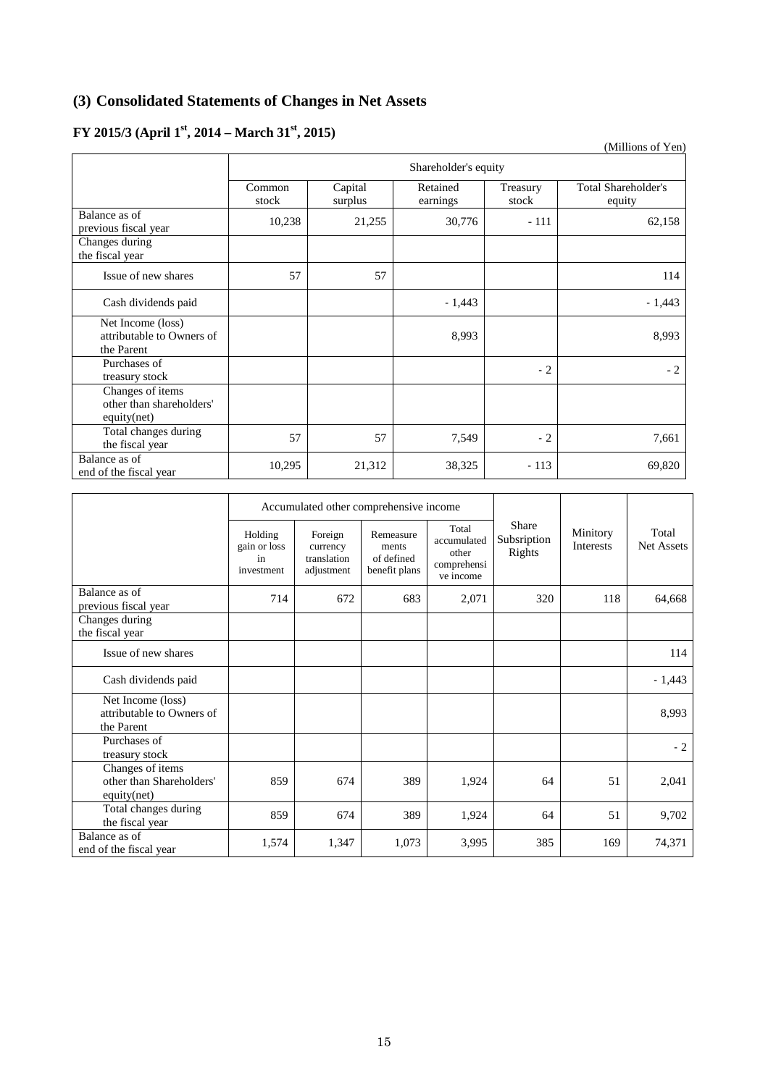# **(3) Consolidated Statements of Changes in Net Assets**

# **FY 2015/3 (April 1st, 2014 – March 31st, 2015)**

|                                                              |                      |                    |                      |                   | (1)                                  |  |  |
|--------------------------------------------------------------|----------------------|--------------------|----------------------|-------------------|--------------------------------------|--|--|
|                                                              | Shareholder's equity |                    |                      |                   |                                      |  |  |
|                                                              | Common<br>stock      | Capital<br>surplus | Retained<br>earnings | Treasury<br>stock | <b>Total Shareholder's</b><br>equity |  |  |
| Balance as of<br>previous fiscal year                        | 10,238               | 21,255             | 30,776               | $-111$            | 62,158                               |  |  |
| Changes during<br>the fiscal year                            |                      |                    |                      |                   |                                      |  |  |
| Issue of new shares                                          | 57                   | 57                 |                      |                   | 114                                  |  |  |
| Cash dividends paid                                          |                      |                    | $-1,443$             |                   | $-1,443$                             |  |  |
| Net Income (loss)<br>attributable to Owners of<br>the Parent |                      |                    | 8,993                |                   | 8,993                                |  |  |
| Purchases of<br>treasury stock                               |                      |                    |                      | $-2$              | $-2$                                 |  |  |
| Changes of items<br>other than shareholders'<br>equity(net)  |                      |                    |                      |                   |                                      |  |  |
| Total changes during<br>the fiscal year                      | 57                   | 57                 | 7,549                | $-2$              | 7,661                                |  |  |
| Balance as of<br>end of the fiscal year                      | 10,295               | 21,312             | 38,325               | $-113$            | 69,820                               |  |  |

|                                                              | Accumulated other comprehensive income      |                                                  |                                                   |                                                           |                                |                       |                     |
|--------------------------------------------------------------|---------------------------------------------|--------------------------------------------------|---------------------------------------------------|-----------------------------------------------------------|--------------------------------|-----------------------|---------------------|
|                                                              | Holding<br>gain or loss<br>in<br>investment | Foreign<br>currency<br>translation<br>adjustment | Remeasure<br>ments<br>of defined<br>benefit plans | Total<br>accumulated<br>other<br>comprehensi<br>ve income | Share<br>Subsription<br>Rights | Minitory<br>Interests | Total<br>Net Assets |
| Balance as of<br>previous fiscal year                        | 714                                         | 672                                              | 683                                               | 2,071                                                     | 320                            | 118                   | 64,668              |
| Changes during<br>the fiscal year                            |                                             |                                                  |                                                   |                                                           |                                |                       |                     |
| Issue of new shares                                          |                                             |                                                  |                                                   |                                                           |                                |                       | 114                 |
| Cash dividends paid                                          |                                             |                                                  |                                                   |                                                           |                                |                       | $-1,443$            |
| Net Income (loss)<br>attributable to Owners of<br>the Parent |                                             |                                                  |                                                   |                                                           |                                |                       | 8,993               |
| Purchases of<br>treasury stock                               |                                             |                                                  |                                                   |                                                           |                                |                       | $-2$                |
| Changes of items<br>other than Shareholders'<br>equity(net)  | 859                                         | 674                                              | 389                                               | 1,924                                                     | 64                             | 51                    | 2,041               |
| Total changes during<br>the fiscal year                      | 859                                         | 674                                              | 389                                               | 1,924                                                     | 64                             | 51                    | 9,702               |
| Balance as of<br>end of the fiscal year                      | 1,574                                       | 1,347                                            | 1,073                                             | 3,995                                                     | 385                            | 169                   | 74,371              |

(Millions of Yen)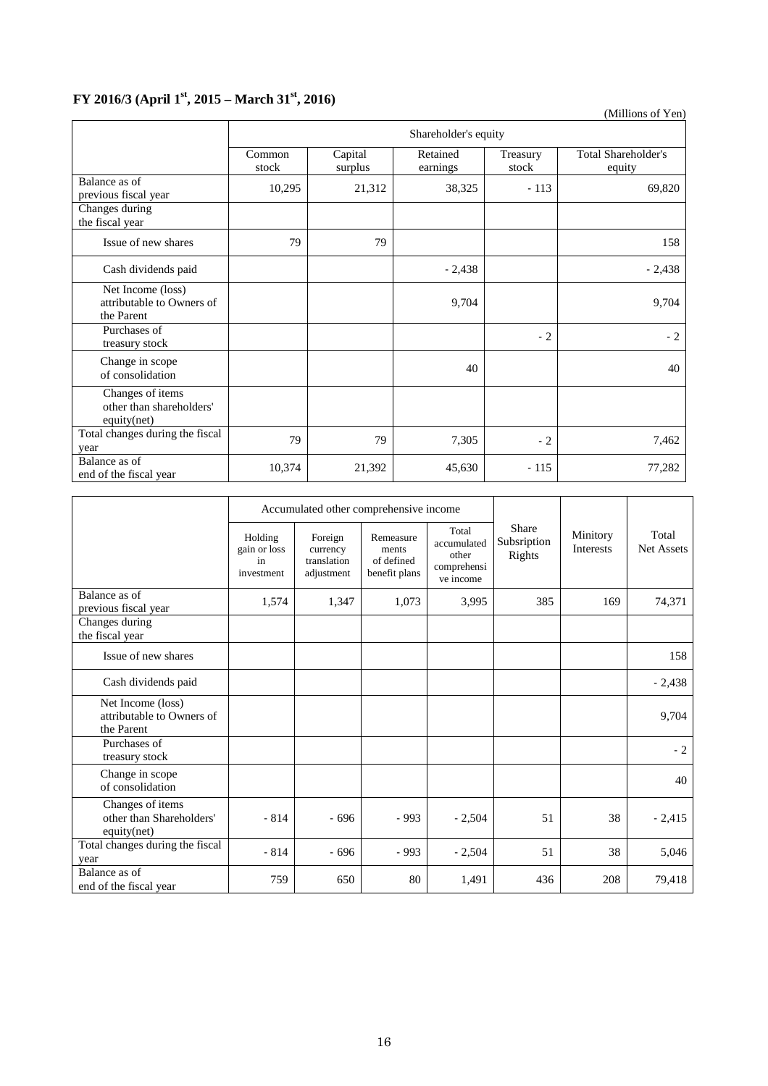# **FY 2016/3 (April 1st, 2015 – March 31st, 2016)**

(Millions of Yen)

|                                                              | Shareholder's equity |                    |                      |                   |                                      |  |  |
|--------------------------------------------------------------|----------------------|--------------------|----------------------|-------------------|--------------------------------------|--|--|
|                                                              | Common<br>stock      | Capital<br>surplus | Retained<br>earnings | Treasury<br>stock | <b>Total Shareholder's</b><br>equity |  |  |
| Balance as of<br>previous fiscal year                        | 10,295               | 21,312             | 38,325               | $-113$            | 69,820                               |  |  |
| Changes during<br>the fiscal year                            |                      |                    |                      |                   |                                      |  |  |
| Issue of new shares                                          | 79                   | 79                 |                      |                   | 158                                  |  |  |
| Cash dividends paid                                          |                      |                    | $-2,438$             |                   | $-2,438$                             |  |  |
| Net Income (loss)<br>attributable to Owners of<br>the Parent |                      |                    | 9,704                |                   | 9,704                                |  |  |
| Purchases of<br>treasury stock                               |                      |                    |                      | $-2$              | $-2$                                 |  |  |
| Change in scope<br>of consolidation                          |                      |                    | 40                   |                   | 40                                   |  |  |
| Changes of items<br>other than shareholders'<br>equity(net)  |                      |                    |                      |                   |                                      |  |  |
| Total changes during the fiscal<br>year                      | 79                   | 79                 | 7,305                | $-2$              | 7,462                                |  |  |
| Balance as of<br>end of the fiscal year                      | 10,374               | 21,392             | 45,630               | $-115$            | 77,282                               |  |  |

|                                                              | Accumulated other comprehensive income      |                                                  |                                                   |                                                           |                                |                              |                     |
|--------------------------------------------------------------|---------------------------------------------|--------------------------------------------------|---------------------------------------------------|-----------------------------------------------------------|--------------------------------|------------------------------|---------------------|
|                                                              | Holding<br>gain or loss<br>in<br>investment | Foreign<br>currency<br>translation<br>adjustment | Remeasure<br>ments<br>of defined<br>benefit plans | Total<br>accumulated<br>other<br>comprehensi<br>ve income | Share<br>Subsription<br>Rights | Minitory<br><b>Interests</b> | Total<br>Net Assets |
| Balance as of<br>previous fiscal year                        | 1,574                                       | 1,347                                            | 1,073                                             | 3,995                                                     | 385                            | 169                          | 74,371              |
| Changes during<br>the fiscal year                            |                                             |                                                  |                                                   |                                                           |                                |                              |                     |
| Issue of new shares                                          |                                             |                                                  |                                                   |                                                           |                                |                              | 158                 |
| Cash dividends paid                                          |                                             |                                                  |                                                   |                                                           |                                |                              | $-2,438$            |
| Net Income (loss)<br>attributable to Owners of<br>the Parent |                                             |                                                  |                                                   |                                                           |                                |                              | 9,704               |
| Purchases of<br>treasury stock                               |                                             |                                                  |                                                   |                                                           |                                |                              | $-2$                |
| Change in scope<br>of consolidation                          |                                             |                                                  |                                                   |                                                           |                                |                              | 40                  |
| Changes of items<br>other than Shareholders'<br>equity(net)  | $-814$                                      | $-696$                                           | $-993$                                            | $-2,504$                                                  | 51                             | 38                           | $-2,415$            |
| Total changes during the fiscal<br>year                      | $-814$                                      | $-696$                                           | $-993$                                            | $-2,504$                                                  | 51                             | 38                           | 5,046               |
| Balance as of<br>end of the fiscal year                      | 759                                         | 650                                              | 80                                                | 1,491                                                     | 436                            | 208                          | 79,418              |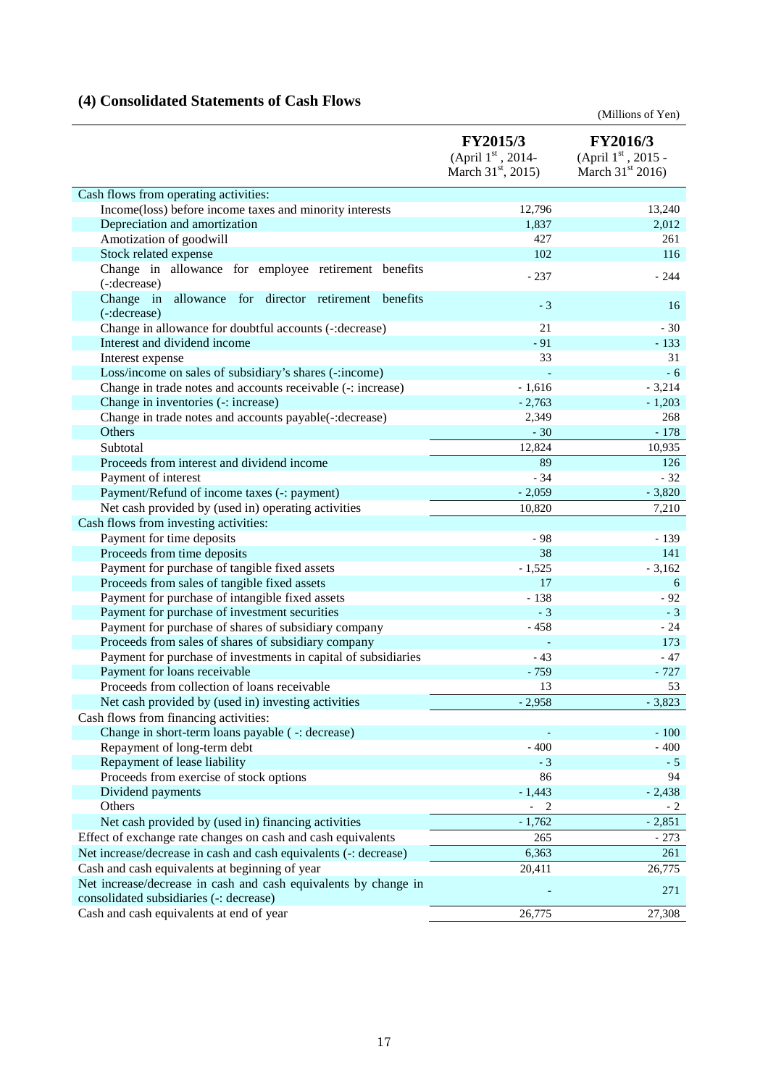# **(4) Consolidated Statements of Cash Flows**

(Millions of Yen)

|                                                                      | FY2015/3<br>(April 1st, 2014-<br>March 31 <sup>st</sup> , 2015) | FY2016/3<br>(April 1st, 2015 -<br>March $31^{st}$ 2016) |
|----------------------------------------------------------------------|-----------------------------------------------------------------|---------------------------------------------------------|
| Cash flows from operating activities:                                |                                                                 |                                                         |
| Income(loss) before income taxes and minority interests              | 12,796                                                          | 13,240                                                  |
| Depreciation and amortization                                        | 1,837                                                           | 2,012                                                   |
| Amotization of goodwill                                              | 427                                                             | 261                                                     |
| Stock related expense                                                | 102                                                             | 116                                                     |
| Change in allowance for employee retirement benefits<br>(-:decrease) | $-237$                                                          | - 244                                                   |
| Change in allowance for director retirement benefits<br>(-:decrease) | $-3$                                                            | 16                                                      |
| Change in allowance for doubtful accounts (-: decrease)              | 21                                                              | $-30$                                                   |
| Interest and dividend income                                         | $-91$                                                           | $-133$                                                  |
| Interest expense                                                     | 33                                                              | 31                                                      |
| Loss/income on sales of subsidiary's shares (-: income)              |                                                                 | $-6$                                                    |
| Change in trade notes and accounts receivable (-: increase)          | $-1,616$                                                        | $-3,214$                                                |
| Change in inventories (-: increase)                                  | $-2,763$                                                        | $-1,203$                                                |
| Change in trade notes and accounts payable(-: decrease)              | 2,349                                                           | 268                                                     |
| <b>Others</b>                                                        | $-30$                                                           | $-178$                                                  |
| Subtotal                                                             | 12,824                                                          | 10,935                                                  |
| Proceeds from interest and dividend income                           | 89                                                              | 126                                                     |
| Payment of interest                                                  | $-34$                                                           | $-32$                                                   |
| Payment/Refund of income taxes (-: payment)                          | $-2,059$                                                        | $-3,820$                                                |
| Net cash provided by (used in) operating activities                  | 10,820                                                          | 7,210                                                   |
| Cash flows from investing activities:                                |                                                                 |                                                         |
| Payment for time deposits                                            | $-98$                                                           | $-139$                                                  |
| Proceeds from time deposits                                          | 38                                                              | 141                                                     |
| Payment for purchase of tangible fixed assets                        | $-1,525$                                                        | $-3,162$                                                |
| Proceeds from sales of tangible fixed assets                         | 17                                                              | 6                                                       |
| Payment for purchase of intangible fixed assets                      | $-138$                                                          | $-92$                                                   |
| Payment for purchase of investment securities                        | $-3$                                                            | $-3$                                                    |
| Payment for purchase of shares of subsidiary company                 | $-458$                                                          | $-24$                                                   |
| Proceeds from sales of shares of subsidiary company                  |                                                                 | 173                                                     |
| Payment for purchase of investments in capital of subsidiaries       | $-43$                                                           | $-47$                                                   |
| Payment for loans receivable                                         | $-759$                                                          | $-727$                                                  |
| Proceeds from collection of loans receivable                         | 13                                                              | 53                                                      |
| Net cash provided by (used in) investing activities                  | $-2,958$                                                        | $-3,823$                                                |
| Cash flows from financing activities:                                |                                                                 |                                                         |
| Change in short-term loans payable (-: decrease)                     |                                                                 | $-100$                                                  |
| Repayment of long-term debt                                          | $-400$                                                          | $-400$                                                  |
| Repayment of lease liability                                         | $-3$                                                            | $-5$                                                    |
| Proceeds from exercise of stock options                              | 86                                                              | 94                                                      |
| Dividend payments                                                    | $-1,443$                                                        | $-2,438$                                                |
| Others                                                               | $-2$                                                            | $-2$                                                    |
| Net cash provided by (used in) financing activities                  | $-1,762$                                                        | $-2,851$                                                |
| Effect of exchange rate changes on cash and cash equivalents         | 265                                                             | $-273$                                                  |
| Net increase/decrease in cash and cash equivalents (-: decrease)     | 6,363                                                           | 261                                                     |
| Cash and cash equivalents at beginning of year                       | 20,411                                                          | 26,775                                                  |
| Net increase/decrease in cash and cash equivalents by change in      |                                                                 | 271                                                     |
| consolidated subsidiaries (-: decrease)                              |                                                                 |                                                         |
| Cash and cash equivalents at end of year                             | 26,775                                                          | 27,308                                                  |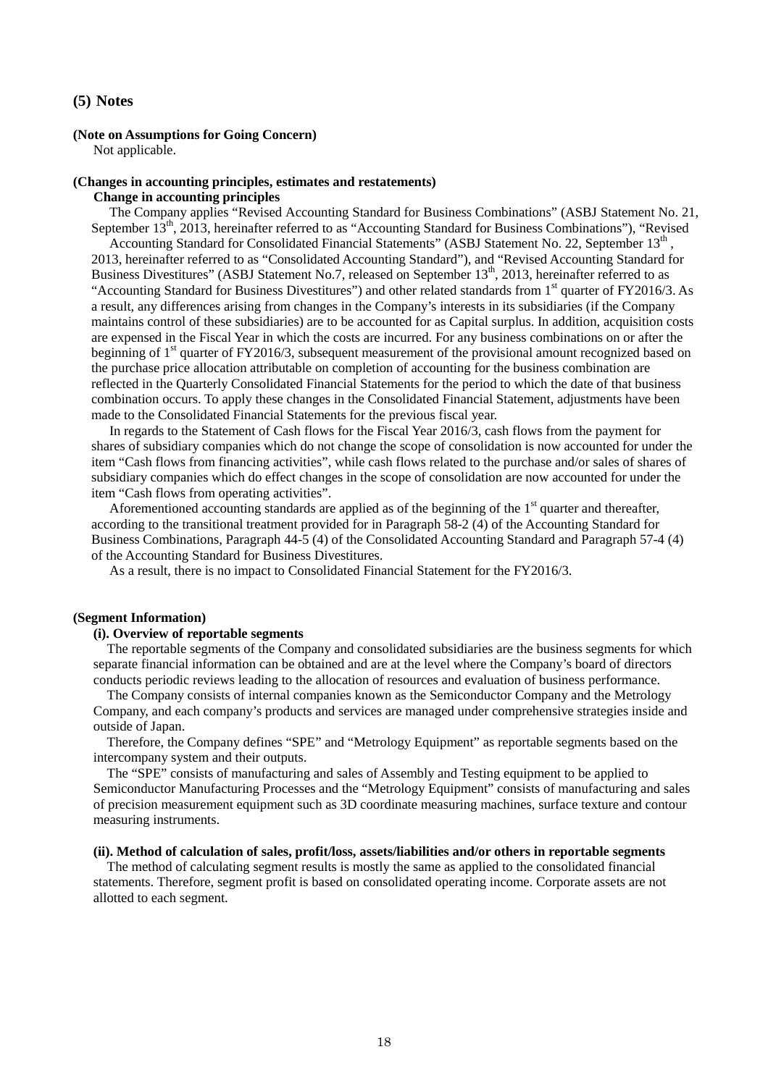#### **(5) Notes**

#### **(Note on Assumptions for Going Concern)**

Not applicable.

#### **(Changes in accounting principles, estimates and restatements) Change in accounting principles**

The Company applies "Revised Accounting Standard for Business Combinations" (ASBJ Statement No. 21, September 13<sup>th</sup>, 2013, hereinafter referred to as "Accounting Standard for Business Combinations"), "Revised Accounting Standard for Consolidated Financial Statements" (ASBJ Statement No. 22, September 13<sup>th</sup>, 2013, hereinafter referred to as "Consolidated Accounting Standard"), and "Revised Accounting Standard for Business Divestitures" (ASBJ Statement No.7, released on September 13<sup>th</sup>, 2013, hereinafter referred to as "Accounting Standard for Business Divestitures") and other related standards from 1<sup>st</sup> quarter of FY2016/3. As a result, any differences arising from changes in the Company's interests in its subsidiaries (if the Company maintains control of these subsidiaries) are to be accounted for as Capital surplus. In addition, acquisition costs are expensed in the Fiscal Year in which the costs are incurred. For any business combinations on or after the beginning of 1<sup>st</sup> quarter of FY2016/3, subsequent measurement of the provisional amount recognized based on the purchase price allocation attributable on completion of accounting for the business combination are reflected in the Quarterly Consolidated Financial Statements for the period to which the date of that business combination occurs. To apply these changes in the Consolidated Financial Statement, adjustments have been made to the Consolidated Financial Statements for the previous fiscal year.

In regards to the Statement of Cash flows for the Fiscal Year 2016/3, cash flows from the payment for shares of subsidiary companies which do not change the scope of consolidation is now accounted for under the item "Cash flows from financing activities", while cash flows related to the purchase and/or sales of shares of subsidiary companies which do effect changes in the scope of consolidation are now accounted for under the item "Cash flows from operating activities".

Aforementioned accounting standards are applied as of the beginning of the 1<sup>st</sup> quarter and thereafter, according to the transitional treatment provided for in Paragraph 58-2 (4) of the Accounting Standard for Business Combinations, Paragraph 44-5 (4) of the Consolidated Accounting Standard and Paragraph 57-4 (4) of the Accounting Standard for Business Divestitures.

As a result, there is no impact to Consolidated Financial Statement for the FY2016/3.

#### **(Segment Information)**

#### **(i). Overview of reportable segments**

The reportable segments of the Company and consolidated subsidiaries are the business segments for which separate financial information can be obtained and are at the level where the Company's board of directors conducts periodic reviews leading to the allocation of resources and evaluation of business performance.

The Company consists of internal companies known as the Semiconductor Company and the Metrology Company, and each company's products and services are managed under comprehensive strategies inside and outside of Japan.

Therefore, the Company defines "SPE" and "Metrology Equipment" as reportable segments based on the intercompany system and their outputs.

The "SPE" consists of manufacturing and sales of Assembly and Testing equipment to be applied to Semiconductor Manufacturing Processes and the "Metrology Equipment" consists of manufacturing and sales of precision measurement equipment such as 3D coordinate measuring machines, surface texture and contour measuring instruments.

#### **(ii). Method of calculation of sales, profit/loss, assets/liabilities and/or others in reportable segments**

The method of calculating segment results is mostly the same as applied to the consolidated financial statements. Therefore, segment profit is based on consolidated operating income. Corporate assets are not allotted to each segment.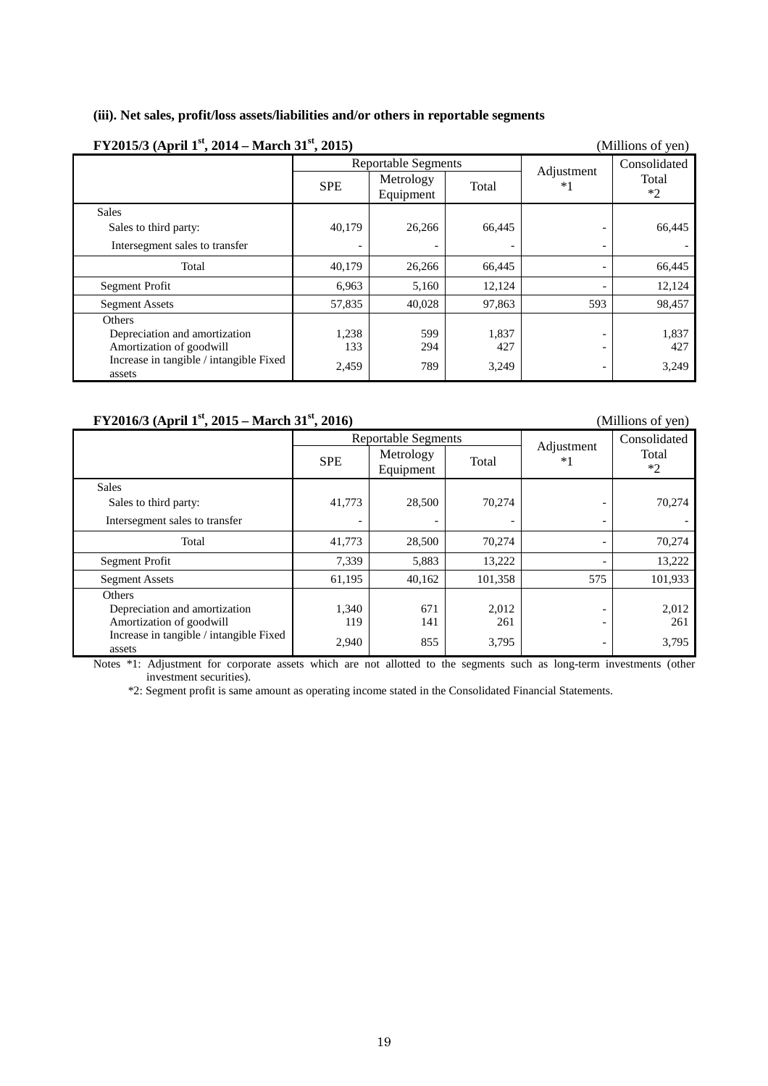## **(iii). Net sales, profit/loss assets/liabilities and/or others in reportable segments**

| FY2015/3 (April 1 <sup>st</sup> , 2014 – March 31 <sup>st</sup> , 2015) |                            |                        |        | (Millions of yen)        |               |
|-------------------------------------------------------------------------|----------------------------|------------------------|--------|--------------------------|---------------|
|                                                                         | <b>Reportable Segments</b> |                        |        |                          | Consolidated  |
|                                                                         | <b>SPE</b>                 | Metrology<br>Equipment | Total  | Adjustment<br>$*1$       | Total<br>$*2$ |
| <b>Sales</b>                                                            |                            |                        |        |                          |               |
| Sales to third party:                                                   | 40,179                     | 26,266                 | 66,445 |                          | 66,445        |
| Intersegment sales to transfer                                          | $\overline{\phantom{a}}$   |                        |        | $\overline{\phantom{0}}$ |               |
| Total                                                                   | 40,179                     | 26,266                 | 66,445 |                          | 66,445        |
| Segment Profit                                                          | 6,963                      | 5,160                  | 12,124 |                          | 12,124        |
| <b>Segment Assets</b>                                                   | 57,835                     | 40,028                 | 97,863 | 593                      | 98,457        |
| <b>Others</b>                                                           |                            |                        |        |                          |               |
| Depreciation and amortization                                           | 1,238                      | 599                    | 1,837  |                          | 1,837         |
| Amortization of goodwill                                                | 133                        | 294                    | 427    |                          | 427           |
| Increase in tangible / intangible Fixed<br>assets                       | 2,459                      | 789                    | 3,249  | $\overline{\phantom{0}}$ | 3,249         |

# **FY2016/3 (April 1<sup>st</sup>, 2015 – March 31<sup>st</sup>, 2016)** (Millions of yen)

|                                                   | <b>Reportable Segments</b>   |                        |         | Adjustment               | Consolidated  |
|---------------------------------------------------|------------------------------|------------------------|---------|--------------------------|---------------|
|                                                   | <b>SPE</b>                   | Metrology<br>Equipment | Total   | $*1$                     | Total<br>$*2$ |
| <b>Sales</b>                                      |                              |                        |         |                          |               |
| Sales to third party:                             | 41,773                       | 28,500                 | 70.274  |                          | 70,274        |
| Intersegment sales to transfer                    | $\qquad \qquad \blacksquare$ |                        |         |                          |               |
| Total                                             | 41,773                       | 28,500                 | 70.274  | $\overline{\phantom{a}}$ | 70,274        |
| Segment Profit                                    | 7,339                        | 5,883                  | 13,222  |                          | 13,222        |
| <b>Segment Assets</b>                             | 61,195                       | 40,162                 | 101,358 | 575                      | 101,933       |
| Others                                            |                              |                        |         |                          |               |
| Depreciation and amortization                     | 1,340                        | 671                    | 2,012   | $\overline{\phantom{a}}$ | 2,012         |
| Amortization of goodwill                          | 119                          | 141                    | 261     | $\overline{\phantom{0}}$ | 261           |
| Increase in tangible / intangible Fixed<br>assets | 2,940                        | 855                    | 3,795   |                          | 3,795         |

Notes \*1: Adjustment for corporate assets which are not allotted to the segments such as long-term investments (other investment securities).

\*2: Segment profit is same amount as operating income stated in the Consolidated Financial Statements.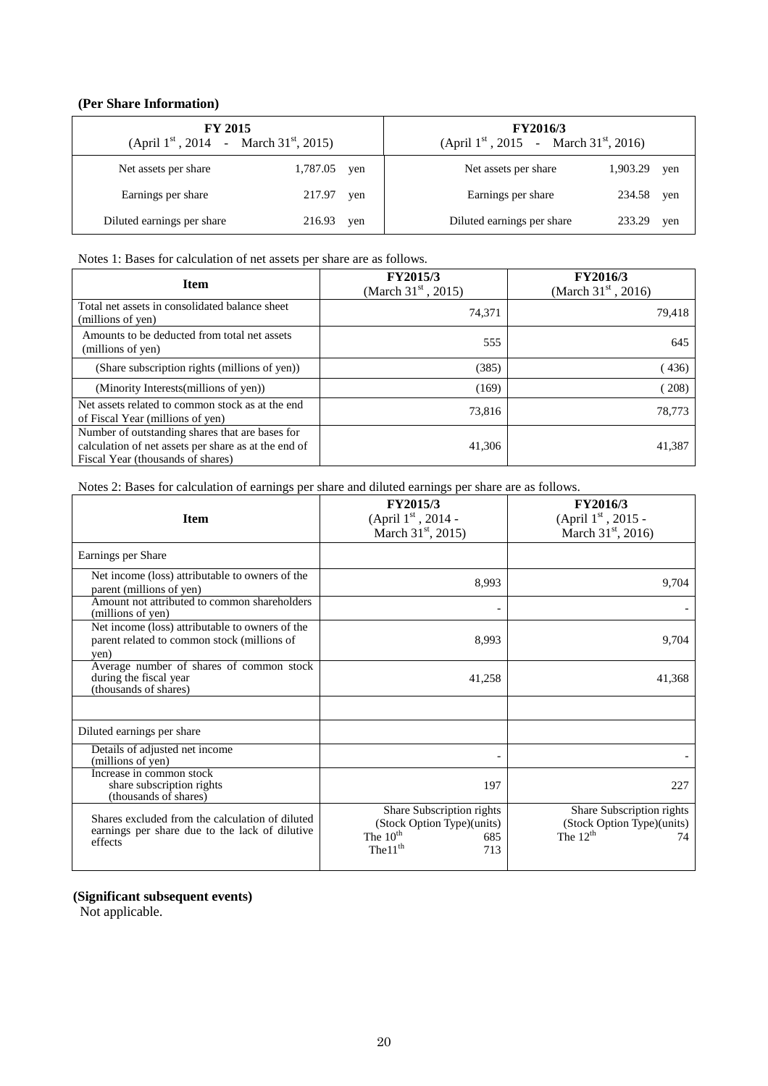#### **(Per Share Information)**

| <b>FY 2015</b><br>(April $1^{st}$ , 2014 - March 31 <sup>st</sup> , 2015) |          | <b>FY2016/3</b><br>(April $1^{st}$ , 2015 - March 31 <sup>st</sup> , 2016) |                                      |     |
|---------------------------------------------------------------------------|----------|----------------------------------------------------------------------------|--------------------------------------|-----|
| Net assets per share                                                      | 1,787.05 | yen                                                                        | 1,903.29<br>Net assets per share     | yen |
| Earnings per share                                                        | 217.97   | yen                                                                        | Earnings per share<br>234.58         | yen |
| Diluted earnings per share                                                | 216.93   | yen                                                                        | Diluted earnings per share<br>233.29 | yen |

#### Notes 1: Bases for calculation of net assets per share are as follows.

| <b>Item</b>                                                                                                                                  | <b>FY2015/3</b><br>(March $31^{\rm st}$ , 2015) | FY2016/3<br>(March $31^{\rm st}$ , 2016) |
|----------------------------------------------------------------------------------------------------------------------------------------------|-------------------------------------------------|------------------------------------------|
| Total net assets in consolidated balance sheet<br>(millions of yen)                                                                          | 74.371                                          | 79,418                                   |
| Amounts to be deducted from total net assets<br>(millions of yen)                                                                            | 555                                             | 645                                      |
| (Share subscription rights (millions of yen))                                                                                                | (385)                                           | (436)                                    |
| (Minority Interests(millions of yen))                                                                                                        | (169)                                           | (208)                                    |
| Net assets related to common stock as at the end<br>of Fiscal Year (millions of yen)                                                         | 73,816                                          | 78,773                                   |
| Number of outstanding shares that are bases for<br>calculation of net assets per share as at the end of<br>Fiscal Year (thousands of shares) | 41,306                                          | 41,387                                   |

Notes 2: Bases for calculation of earnings per share and diluted earnings per share are as follows.

| <b>Item</b>                                                                                                  | <b>FY2015/3</b><br>(April $1^{\rm st}$ , 2014 -<br>March $31^{\text{st}}$ , 2015)                           | <b>FY2016/3</b><br>(April $1^{\rm st}$ , 2015 -<br>March $31^{\rm st}$ , 2016) |
|--------------------------------------------------------------------------------------------------------------|-------------------------------------------------------------------------------------------------------------|--------------------------------------------------------------------------------|
| Earnings per Share                                                                                           |                                                                                                             |                                                                                |
| Net income (loss) attributable to owners of the<br>parent (millions of yen)                                  | 8.993                                                                                                       | 9,704                                                                          |
| Amount not attributed to common shareholders<br>(millions of yen)                                            | $\overline{\phantom{0}}$                                                                                    |                                                                                |
| Net income (loss) attributable to owners of the<br>parent related to common stock (millions of<br>ven)       | 8,993                                                                                                       | 9,704                                                                          |
| Average number of shares of common stock<br>during the fiscal year<br>(thousands of shares)                  | 41,258                                                                                                      | 41,368                                                                         |
|                                                                                                              |                                                                                                             |                                                                                |
| Diluted earnings per share                                                                                   |                                                                                                             |                                                                                |
| Details of adjusted net income<br>(millions of yen)                                                          | $\overline{\phantom{0}}$                                                                                    |                                                                                |
| Increase in common stock<br>share subscription rights<br>(thousands of shares)                               | 197                                                                                                         | 227                                                                            |
| Shares excluded from the calculation of diluted<br>earnings per share due to the lack of dilutive<br>effects | Share Subscription rights<br>(Stock Option Type)(units)<br>The $10th$<br>685<br>The 11 <sup>th</sup><br>713 | Share Subscription rights<br>(Stock Option Type)(units)<br>The $12th$<br>74    |

#### **(Significant subsequent events)**

Not applicable.